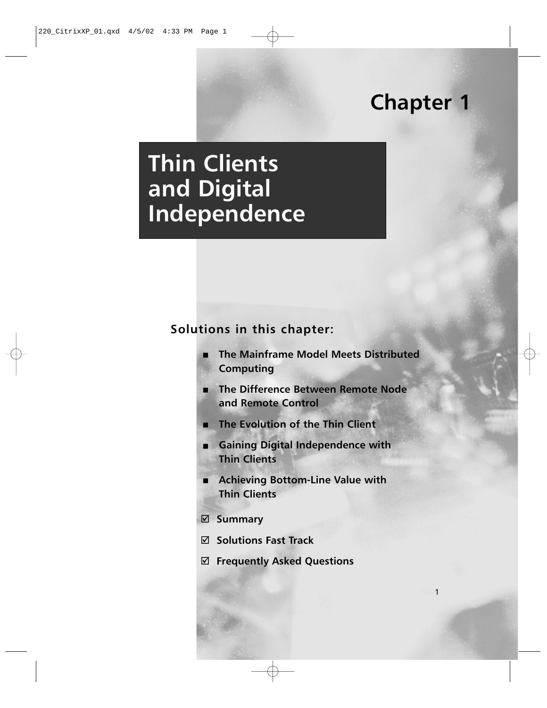# **Chapter 1**

1

# **Thin Clients and Digital Independence**

### **Solutions in this chapter:**

- **The Mainframe Model Meets Distributed Computing**
- **The Difference Between Remote Node and Remote Control**
- **The Evolution of the Thin Client**
- **Gaining Digital Independence with Thin Clients**
- **Achieving Bottom-Line Value with Thin Clients**
- ; **Summary**
- ; **Solutions Fast Track**
- ; **Frequently Asked Questions**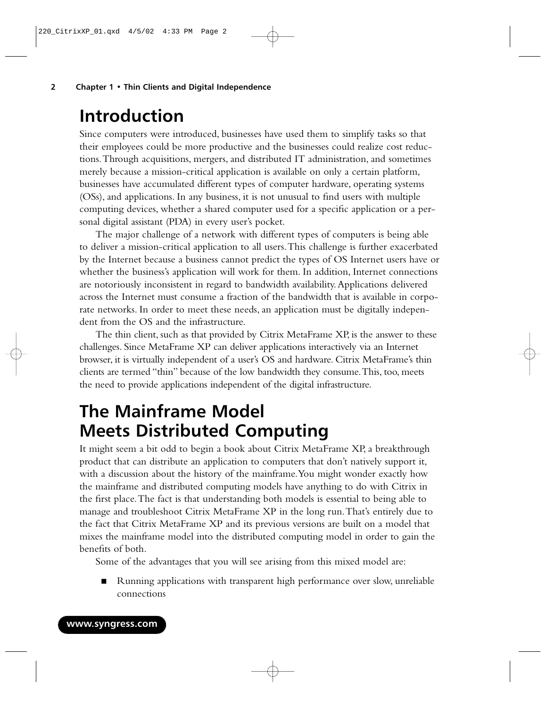# **Introduction**

Since computers were introduced, businesses have used them to simplify tasks so that their employees could be more productive and the businesses could realize cost reductions.Through acquisitions, mergers, and distributed IT administration, and sometimes merely because a mission-critical application is available on only a certain platform, businesses have accumulated different types of computer hardware, operating systems (OSs), and applications. In any business, it is not unusual to find users with multiple computing devices, whether a shared computer used for a specific application or a personal digital assistant (PDA) in every user's pocket.

The major challenge of a network with different types of computers is being able to deliver a mission-critical application to all users.This challenge is further exacerbated by the Internet because a business cannot predict the types of OS Internet users have or whether the business's application will work for them. In addition, Internet connections are notoriously inconsistent in regard to bandwidth availability.Applications delivered across the Internet must consume a fraction of the bandwidth that is available in corporate networks. In order to meet these needs, an application must be digitally independent from the OS and the infrastructure.

The thin client, such as that provided by Citrix MetaFrame XP, is the answer to these challenges. Since MetaFrame XP can deliver applications interactively via an Internet browser, it is virtually independent of a user's OS and hardware. Citrix MetaFrame's thin clients are termed "thin" because of the low bandwidth they consume.This, too, meets the need to provide applications independent of the digital infrastructure.

# **The Mainframe Model Meets Distributed Computing**

It might seem a bit odd to begin a book about Citrix MetaFrame XP, a breakthrough product that can distribute an application to computers that don't natively support it, with a discussion about the history of the mainframe.You might wonder exactly how the mainframe and distributed computing models have anything to do with Citrix in the first place.The fact is that understanding both models is essential to being able to manage and troubleshoot Citrix MetaFrame XP in the long run.That's entirely due to the fact that Citrix MetaFrame XP and its previous versions are built on a model that mixes the mainframe model into the distributed computing model in order to gain the benefits of both.

Some of the advantages that you will see arising from this mixed model are:

Running applications with transparent high performance over slow, unreliable connections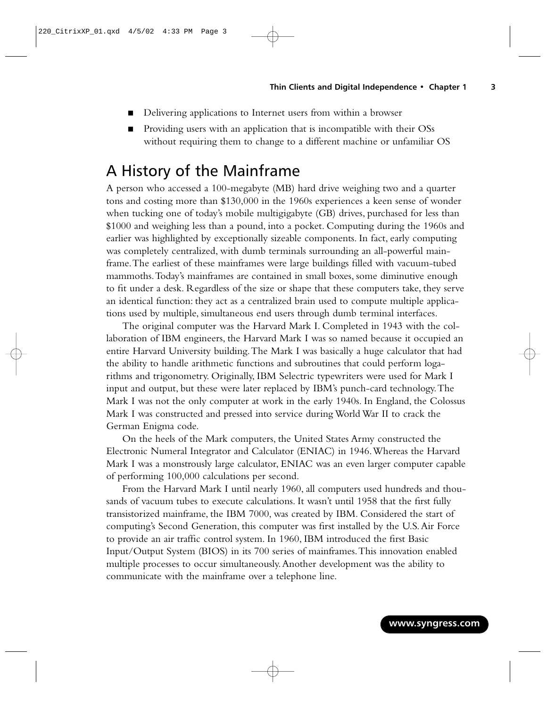- Delivering applications to Internet users from within a browser
- Providing users with an application that is incompatible with their OSs without requiring them to change to a different machine or unfamiliar OS

### A History of the Mainframe

A person who accessed a 100-megabyte (MB) hard drive weighing two and a quarter tons and costing more than \$130,000 in the 1960s experiences a keen sense of wonder when tucking one of today's mobile multigigabyte (GB) drives, purchased for less than \$1000 and weighing less than a pound, into a pocket. Computing during the 1960s and earlier was highlighted by exceptionally sizeable components. In fact, early computing was completely centralized, with dumb terminals surrounding an all-powerful mainframe.The earliest of these mainframes were large buildings filled with vacuum-tubed mammoths.Today's mainframes are contained in small boxes, some diminutive enough to fit under a desk. Regardless of the size or shape that these computers take, they serve an identical function: they act as a centralized brain used to compute multiple applications used by multiple, simultaneous end users through dumb terminal interfaces.

The original computer was the Harvard Mark I. Completed in 1943 with the collaboration of IBM engineers, the Harvard Mark I was so named because it occupied an entire Harvard University building.The Mark I was basically a huge calculator that had the ability to handle arithmetic functions and subroutines that could perform logarithms and trigonometry. Originally, IBM Selectric typewriters were used for Mark I input and output, but these were later replaced by IBM's punch-card technology.The Mark I was not the only computer at work in the early 1940s. In England, the Colossus Mark I was constructed and pressed into service during World War II to crack the German Enigma code.

On the heels of the Mark computers, the United States Army constructed the Electronic Numeral Integrator and Calculator (ENIAC) in 1946.Whereas the Harvard Mark I was a monstrously large calculator, ENIAC was an even larger computer capable of performing 100,000 calculations per second.

From the Harvard Mark I until nearly 1960, all computers used hundreds and thousands of vacuum tubes to execute calculations. It wasn't until 1958 that the first fully transistorized mainframe, the IBM 7000, was created by IBM. Considered the start of computing's Second Generation, this computer was first installed by the U.S.Air Force to provide an air traffic control system. In 1960, IBM introduced the first Basic Input/Output System (BIOS) in its 700 series of mainframes.This innovation enabled multiple processes to occur simultaneously.Another development was the ability to communicate with the mainframe over a telephone line.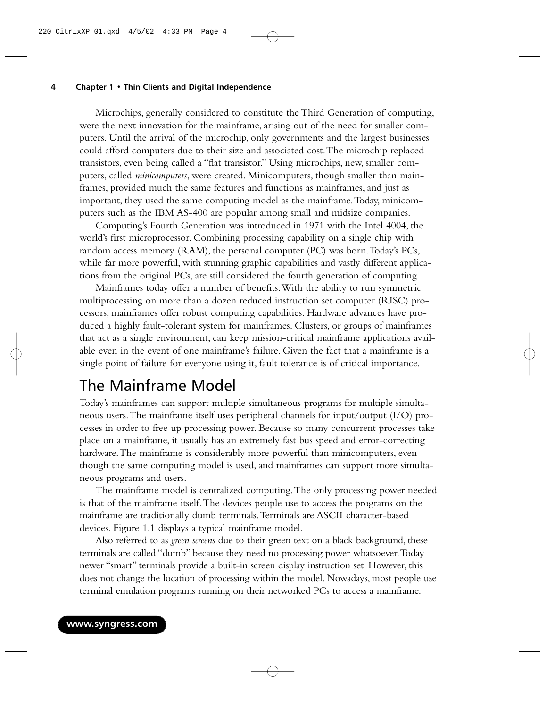Microchips, generally considered to constitute the Third Generation of computing, were the next innovation for the mainframe, arising out of the need for smaller computers. Until the arrival of the microchip, only governments and the largest businesses could afford computers due to their size and associated cost.The microchip replaced transistors, even being called a "flat transistor." Using microchips, new, smaller computers, called *minicomputers*, were created. Minicomputers, though smaller than mainframes, provided much the same features and functions as mainframes, and just as important, they used the same computing model as the mainframe.Today, minicomputers such as the IBM AS-400 are popular among small and midsize companies.

Computing's Fourth Generation was introduced in 1971 with the Intel 4004, the world's first microprocessor. Combining processing capability on a single chip with random access memory (RAM), the personal computer (PC) was born.Today's PCs, while far more powerful, with stunning graphic capabilities and vastly different applications from the original PCs, are still considered the fourth generation of computing.

Mainframes today offer a number of benefits.With the ability to run symmetric multiprocessing on more than a dozen reduced instruction set computer (RISC) processors, mainframes offer robust computing capabilities. Hardware advances have produced a highly fault-tolerant system for mainframes. Clusters, or groups of mainframes that act as a single environment, can keep mission-critical mainframe applications available even in the event of one mainframe's failure. Given the fact that a mainframe is a single point of failure for everyone using it, fault tolerance is of critical importance.

# The Mainframe Model

Today's mainframes can support multiple simultaneous programs for multiple simultaneous users.The mainframe itself uses peripheral channels for input/output (I/O) processes in order to free up processing power. Because so many concurrent processes take place on a mainframe, it usually has an extremely fast bus speed and error-correcting hardware.The mainframe is considerably more powerful than minicomputers, even though the same computing model is used, and mainframes can support more simultaneous programs and users.

The mainframe model is centralized computing.The only processing power needed is that of the mainframe itself.The devices people use to access the programs on the mainframe are traditionally dumb terminals.Terminals are ASCII character-based devices. Figure 1.1 displays a typical mainframe model.

Also referred to as *green screens* due to their green text on a black background, these terminals are called "dumb" because they need no processing power whatsoever.Today newer "smart" terminals provide a built-in screen display instruction set. However, this does not change the location of processing within the model. Nowadays, most people use terminal emulation programs running on their networked PCs to access a mainframe.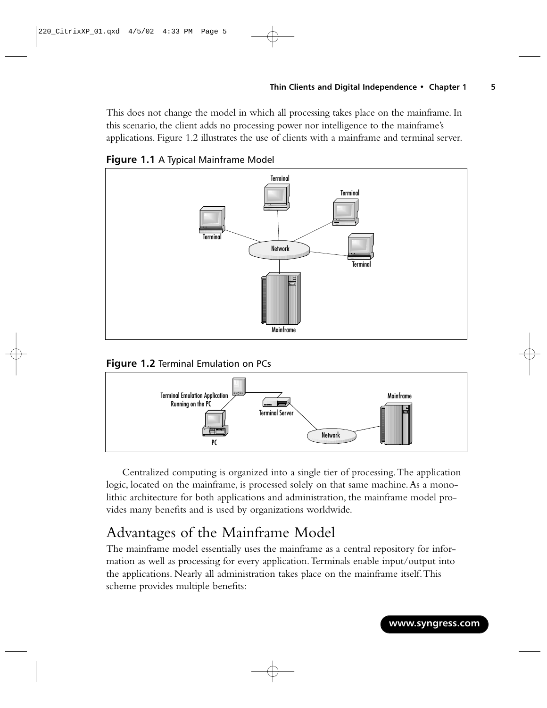This does not change the model in which all processing takes place on the mainframe. In this scenario, the client adds no processing power nor intelligence to the mainframe's applications. Figure 1.2 illustrates the use of clients with a mainframe and terminal server.





**Figure 1.2** Terminal Emulation on PCs



Centralized computing is organized into a single tier of processing.The application logic, located on the mainframe, is processed solely on that same machine. As a monolithic architecture for both applications and administration, the mainframe model provides many benefits and is used by organizations worldwide.

### Advantages of the Mainframe Model

The mainframe model essentially uses the mainframe as a central repository for information as well as processing for every application.Terminals enable input/output into the applications. Nearly all administration takes place on the mainframe itself.This scheme provides multiple benefits: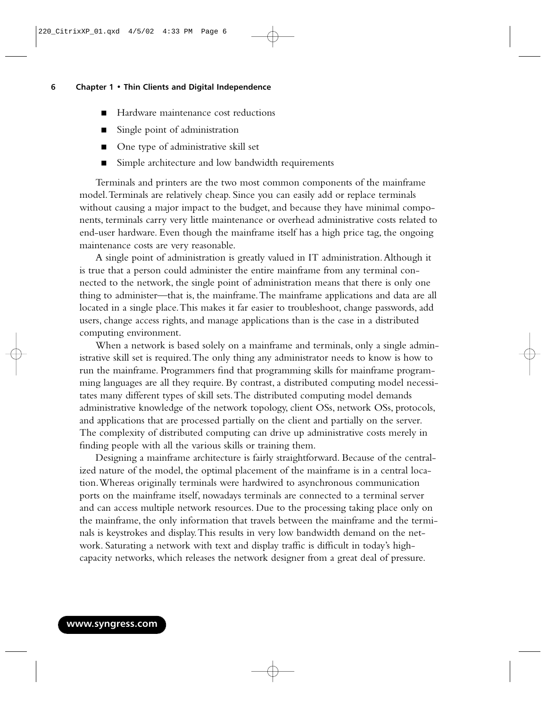- Hardware maintenance cost reductions
- Single point of administration
- One type of administrative skill set
- Simple architecture and low bandwidth requirements

Terminals and printers are the two most common components of the mainframe model.Terminals are relatively cheap. Since you can easily add or replace terminals without causing a major impact to the budget, and because they have minimal components, terminals carry very little maintenance or overhead administrative costs related to end-user hardware. Even though the mainframe itself has a high price tag, the ongoing maintenance costs are very reasonable.

A single point of administration is greatly valued in IT administration.Although it is true that a person could administer the entire mainframe from any terminal connected to the network, the single point of administration means that there is only one thing to administer—that is, the mainframe.The mainframe applications and data are all located in a single place.This makes it far easier to troubleshoot, change passwords, add users, change access rights, and manage applications than is the case in a distributed computing environment.

When a network is based solely on a mainframe and terminals, only a single administrative skill set is required.The only thing any administrator needs to know is how to run the mainframe. Programmers find that programming skills for mainframe programming languages are all they require. By contrast, a distributed computing model necessitates many different types of skill sets.The distributed computing model demands administrative knowledge of the network topology, client OSs, network OSs, protocols, and applications that are processed partially on the client and partially on the server. The complexity of distributed computing can drive up administrative costs merely in finding people with all the various skills or training them.

Designing a mainframe architecture is fairly straightforward. Because of the centralized nature of the model, the optimal placement of the mainframe is in a central location.Whereas originally terminals were hardwired to asynchronous communication ports on the mainframe itself, nowadays terminals are connected to a terminal server and can access multiple network resources. Due to the processing taking place only on the mainframe, the only information that travels between the mainframe and the terminals is keystrokes and display.This results in very low bandwidth demand on the network. Saturating a network with text and display traffic is difficult in today's highcapacity networks, which releases the network designer from a great deal of pressure.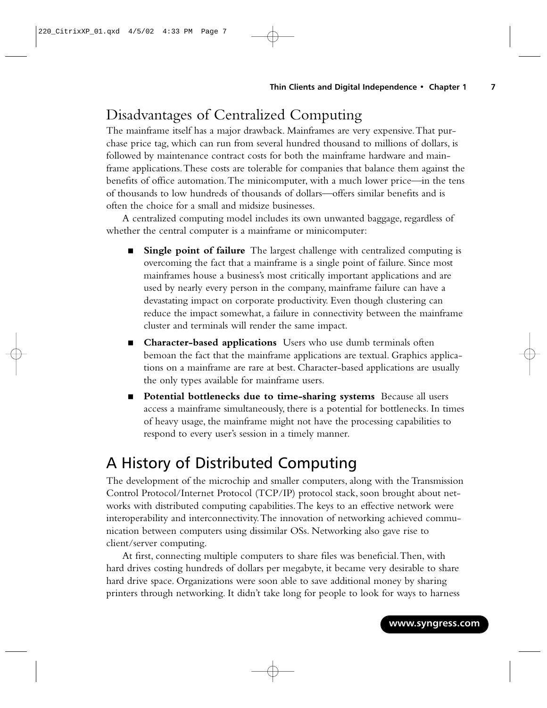## Disadvantages of Centralized Computing

The mainframe itself has a major drawback. Mainframes are very expensive.That purchase price tag, which can run from several hundred thousand to millions of dollars, is followed by maintenance contract costs for both the mainframe hardware and mainframe applications.These costs are tolerable for companies that balance them against the benefits of office automation.The minicomputer, with a much lower price—in the tens of thousands to low hundreds of thousands of dollars—offers similar benefits and is often the choice for a small and midsize businesses.

A centralized computing model includes its own unwanted baggage, regardless of whether the central computer is a mainframe or minicomputer:

- **Single point of failure** The largest challenge with centralized computing is overcoming the fact that a mainframe is a single point of failure. Since most mainframes house a business's most critically important applications and are used by nearly every person in the company, mainframe failure can have a devastating impact on corporate productivity. Even though clustering can reduce the impact somewhat, a failure in connectivity between the mainframe cluster and terminals will render the same impact.
- **Character-based applications** Users who use dumb terminals often bemoan the fact that the mainframe applications are textual. Graphics applications on a mainframe are rare at best. Character-based applications are usually the only types available for mainframe users.
- **Potential bottlenecks due to time-sharing systems** Because all users access a mainframe simultaneously, there is a potential for bottlenecks. In times of heavy usage, the mainframe might not have the processing capabilities to respond to every user's session in a timely manner.

# A History of Distributed Computing

The development of the microchip and smaller computers, along with the Transmission Control Protocol/Internet Protocol (TCP/IP) protocol stack, soon brought about networks with distributed computing capabilities.The keys to an effective network were interoperability and interconnectivity.The innovation of networking achieved communication between computers using dissimilar OSs. Networking also gave rise to client/server computing.

At first, connecting multiple computers to share files was beneficial.Then, with hard drives costing hundreds of dollars per megabyte, it became very desirable to share hard drive space. Organizations were soon able to save additional money by sharing printers through networking. It didn't take long for people to look for ways to harness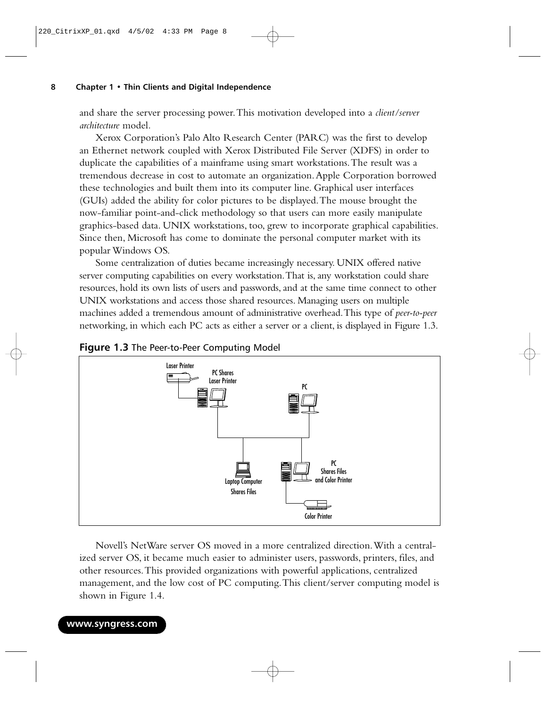and share the server processing power.This motivation developed into a *client/server architecture* model*.*

Xerox Corporation's Palo Alto Research Center (PARC) was the first to develop an Ethernet network coupled with Xerox Distributed File Server (XDFS) in order to duplicate the capabilities of a mainframe using smart workstations.The result was a tremendous decrease in cost to automate an organization.Apple Corporation borrowed these technologies and built them into its computer line. Graphical user interfaces (GUIs) added the ability for color pictures to be displayed.The mouse brought the now-familiar point-and-click methodology so that users can more easily manipulate graphics-based data. UNIX workstations, too, grew to incorporate graphical capabilities. Since then, Microsoft has come to dominate the personal computer market with its popular Windows OS.

Some centralization of duties became increasingly necessary. UNIX offered native server computing capabilities on every workstation.That is, any workstation could share resources, hold its own lists of users and passwords, and at the same time connect to other UNIX workstations and access those shared resources. Managing users on multiple machines added a tremendous amount of administrative overhead.This type of *peer-to-peer* networking, in which each PC acts as either a server or a client, is displayed in Figure 1.3.



#### **Figure 1.3** The Peer-to-Peer Computing Model

Novell's NetWare server OS moved in a more centralized direction.With a centralized server OS, it became much easier to administer users, passwords, printers, files, and other resources.This provided organizations with powerful applications, centralized management, and the low cost of PC computing.This client/server computing model is shown in Figure 1.4.

#### **www.syngress.com**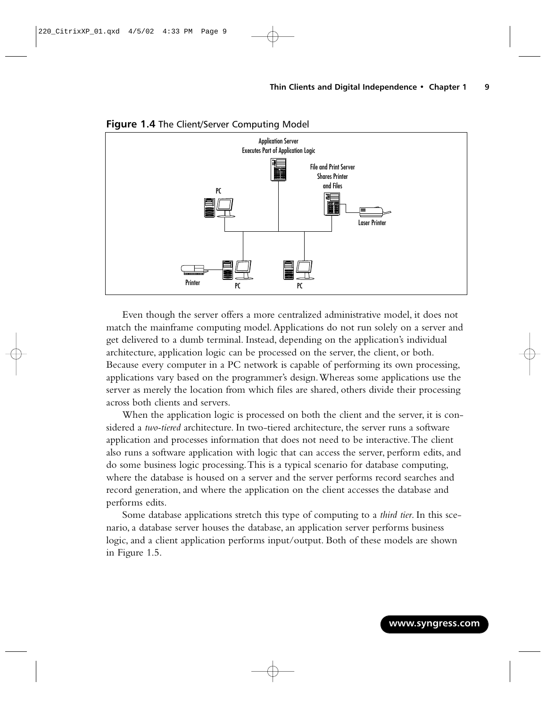



Even though the server offers a more centralized administrative model, it does not match the mainframe computing model.Applications do not run solely on a server and get delivered to a dumb terminal. Instead, depending on the application's individual architecture, application logic can be processed on the server, the client, or both. Because every computer in a PC network is capable of performing its own processing, applications vary based on the programmer's design.Whereas some applications use the server as merely the location from which files are shared, others divide their processing across both clients and servers.

When the application logic is processed on both the client and the server, it is considered a *two-tiered* architecture. In two-tiered architecture, the server runs a software application and processes information that does not need to be interactive.The client also runs a software application with logic that can access the server, perform edits, and do some business logic processing.This is a typical scenario for database computing, where the database is housed on a server and the server performs record searches and record generation, and where the application on the client accesses the database and performs edits.

Some database applications stretch this type of computing to a *third tier*. In this scenario, a database server houses the database, an application server performs business logic, and a client application performs input/output. Both of these models are shown in Figure 1.5.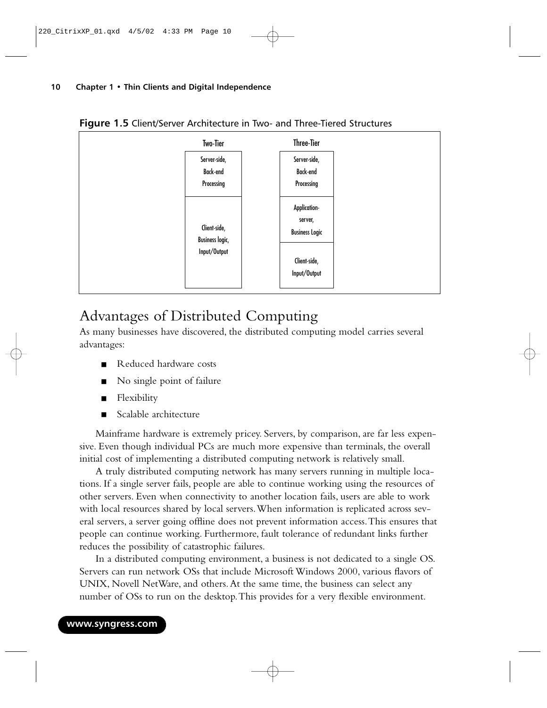| Two-Tier                        | Three-Tier                                       |
|---------------------------------|--------------------------------------------------|
| Server-side,                    | Server-side,                                     |
| <b>Back-end</b>                 | <b>Back-end</b>                                  |
| Processing                      | Processing                                       |
| Client-side,<br>Business logic, | Application-<br>server,<br><b>Business Logic</b> |
| Input/Output                    | Client-side,<br>Input/Output                     |

**Figure 1.5** Client/Server Architecture in Two- and Three-Tiered Structures

# Advantages of Distributed Computing

As many businesses have discovered, the distributed computing model carries several advantages:

- Reduced hardware costs
- No single point of failure
- Flexibility
- Scalable architecture

Mainframe hardware is extremely pricey. Servers, by comparison, are far less expensive. Even though individual PCs are much more expensive than terminals, the overall initial cost of implementing a distributed computing network is relatively small.

A truly distributed computing network has many servers running in multiple locations. If a single server fails, people are able to continue working using the resources of other servers. Even when connectivity to another location fails, users are able to work with local resources shared by local servers.When information is replicated across several servers, a server going offline does not prevent information access.This ensures that people can continue working. Furthermore, fault tolerance of redundant links further reduces the possibility of catastrophic failures.

In a distributed computing environment, a business is not dedicated to a single OS. Servers can run network OSs that include Microsoft Windows 2000, various flavors of UNIX, Novell NetWare, and others.At the same time, the business can select any number of OSs to run on the desktop.This provides for a very flexible environment.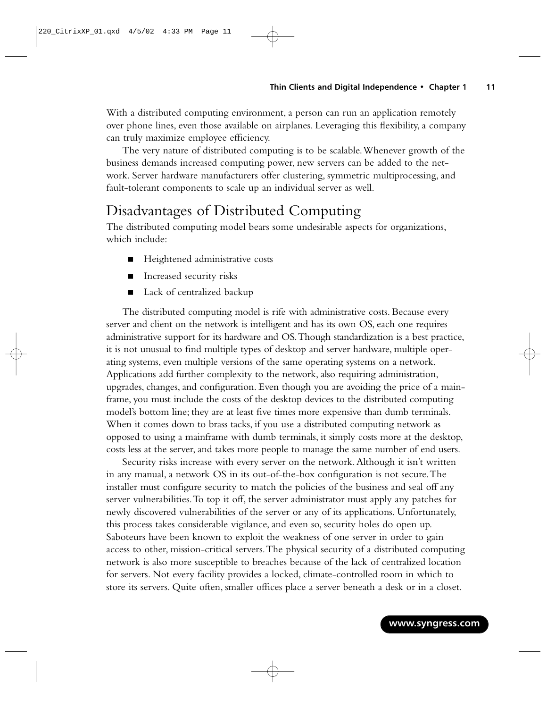With a distributed computing environment, a person can run an application remotely over phone lines, even those available on airplanes. Leveraging this flexibility, a company can truly maximize employee efficiency.

The very nature of distributed computing is to be scalable.Whenever growth of the business demands increased computing power, new servers can be added to the network. Server hardware manufacturers offer clustering, symmetric multiprocessing, and fault-tolerant components to scale up an individual server as well.

### Disadvantages of Distributed Computing

The distributed computing model bears some undesirable aspects for organizations, which include:

- Heightened administrative costs
- Increased security risks
- Lack of centralized backup

The distributed computing model is rife with administrative costs. Because every server and client on the network is intelligent and has its own OS, each one requires administrative support for its hardware and OS.Though standardization is a best practice, it is not unusual to find multiple types of desktop and server hardware, multiple operating systems, even multiple versions of the same operating systems on a network. Applications add further complexity to the network, also requiring administration, upgrades, changes, and configuration. Even though you are avoiding the price of a mainframe, you must include the costs of the desktop devices to the distributed computing model's bottom line; they are at least five times more expensive than dumb terminals. When it comes down to brass tacks, if you use a distributed computing network as opposed to using a mainframe with dumb terminals, it simply costs more at the desktop, costs less at the server, and takes more people to manage the same number of end users.

Security risks increase with every server on the network.Although it isn't written in any manual, a network OS in its out-of-the-box configuration is not secure.The installer must configure security to match the policies of the business and seal off any server vulnerabilities.To top it off, the server administrator must apply any patches for newly discovered vulnerabilities of the server or any of its applications. Unfortunately, this process takes considerable vigilance, and even so, security holes do open up. Saboteurs have been known to exploit the weakness of one server in order to gain access to other, mission-critical servers.The physical security of a distributed computing network is also more susceptible to breaches because of the lack of centralized location for servers. Not every facility provides a locked, climate-controlled room in which to store its servers. Quite often, smaller offices place a server beneath a desk or in a closet.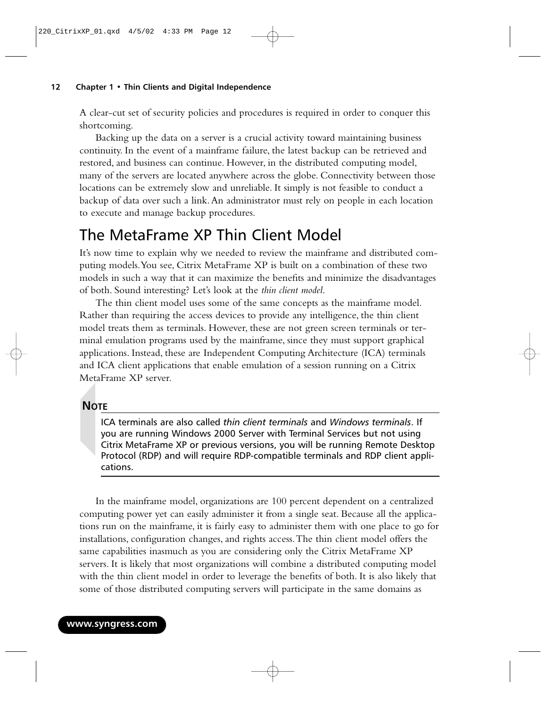A clear-cut set of security policies and procedures is required in order to conquer this shortcoming.

Backing up the data on a server is a crucial activity toward maintaining business continuity. In the event of a mainframe failure, the latest backup can be retrieved and restored, and business can continue. However, in the distributed computing model, many of the servers are located anywhere across the globe. Connectivity between those locations can be extremely slow and unreliable. It simply is not feasible to conduct a backup of data over such a link.An administrator must rely on people in each location to execute and manage backup procedures.

# The MetaFrame XP Thin Client Model

It's now time to explain why we needed to review the mainframe and distributed computing models.You see, Citrix MetaFrame XP is built on a combination of these two models in such a way that it can maximize the benefits and minimize the disadvantages of both. Sound interesting? Let's look at the *thin client model*.

The thin client model uses some of the same concepts as the mainframe model. Rather than requiring the access devices to provide any intelligence, the thin client model treats them as terminals. However, these are not green screen terminals or terminal emulation programs used by the mainframe, since they must support graphical applications. Instead, these are Independent Computing Architecture (ICA) terminals and ICA client applications that enable emulation of a session running on a Citrix MetaFrame XP server.

### **NOTE**

ICA terminals are also called *thin client terminals* and *Windows terminals*. If you are running Windows 2000 Server with Terminal Services but not using Citrix MetaFrame XP or previous versions, you will be running Remote Desktop Protocol (RDP) and will require RDP-compatible terminals and RDP client applications.

In the mainframe model, organizations are 100 percent dependent on a centralized computing power yet can easily administer it from a single seat. Because all the applications run on the mainframe, it is fairly easy to administer them with one place to go for installations, configuration changes, and rights access.The thin client model offers the same capabilities inasmuch as you are considering only the Citrix MetaFrame XP servers. It is likely that most organizations will combine a distributed computing model with the thin client model in order to leverage the benefits of both. It is also likely that some of those distributed computing servers will participate in the same domains as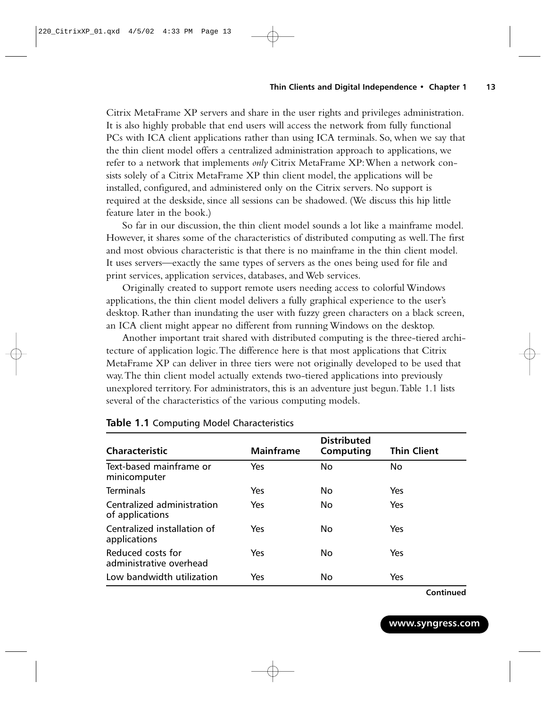Citrix MetaFrame XP servers and share in the user rights and privileges administration. It is also highly probable that end users will access the network from fully functional PCs with ICA client applications rather than using ICA terminals. So, when we say that the thin client model offers a centralized administration approach to applications, we refer to a network that implements *only* Citrix MetaFrame XP:When a network consists solely of a Citrix MetaFrame XP thin client model, the applications will be installed, configured, and administered only on the Citrix servers. No support is required at the deskside, since all sessions can be shadowed. (We discuss this hip little feature later in the book.)

So far in our discussion, the thin client model sounds a lot like a mainframe model. However, it shares some of the characteristics of distributed computing as well.The first and most obvious characteristic is that there is no mainframe in the thin client model. It uses servers—exactly the same types of servers as the ones being used for file and print services, application services, databases, and Web services.

Originally created to support remote users needing access to colorful Windows applications, the thin client model delivers a fully graphical experience to the user's desktop. Rather than inundating the user with fuzzy green characters on a black screen, an ICA client might appear no different from running Windows on the desktop.

Another important trait shared with distributed computing is the three-tiered architecture of application logic.The difference here is that most applications that Citrix MetaFrame XP can deliver in three tiers were not originally developed to be used that way.The thin client model actually extends two-tiered applications into previously unexplored territory. For administrators, this is an adventure just begun.Table 1.1 lists several of the characteristics of the various computing models.

| <b>Characteristic</b>                         | <b>Mainframe</b> | <b>Distributed</b><br>Computing | <b>Thin Client</b> |
|-----------------------------------------------|------------------|---------------------------------|--------------------|
| Text-based mainframe or<br>minicomputer       | Yes              | No                              | No                 |
| <b>Terminals</b>                              | Yes              | No                              | Yes                |
| Centralized administration<br>of applications | Yes              | No.                             | Yes                |
| Centralized installation of<br>applications   | Yes              | No                              | Yes                |
| Reduced costs for<br>administrative overhead  | Yes              | No                              | Yes                |
| Low bandwidth utilization                     | Yes              | No                              | Yes                |

#### **Table 1.1** Computing Model Characteristics

**Continued**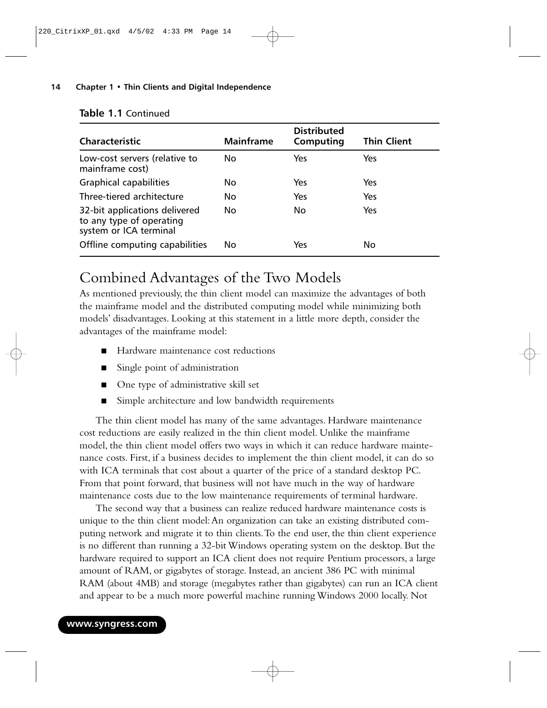| <b>Characteristic</b>                                                               | <b>Mainframe</b> | <b>Distributed</b><br>Computing | <b>Thin Client</b> |
|-------------------------------------------------------------------------------------|------------------|---------------------------------|--------------------|
| Low-cost servers (relative to<br>mainframe cost)                                    | No               | Yes                             | Yes                |
| Graphical capabilities                                                              | No               | Yes                             | Yes                |
| Three-tiered architecture                                                           | No               | Yes                             | Yes                |
| 32-bit applications delivered<br>to any type of operating<br>system or ICA terminal | No               | No                              | Yes                |
| Offline computing capabilities                                                      | No               | Yes                             | No                 |

#### **Table 1.1** Continued

### Combined Advantages of the Two Models

As mentioned previously, the thin client model can maximize the advantages of both the mainframe model and the distributed computing model while minimizing both models' disadvantages. Looking at this statement in a little more depth, consider the advantages of the mainframe model:

- Hardware maintenance cost reductions
- Single point of administration
- One type of administrative skill set
- Simple architecture and low bandwidth requirements

The thin client model has many of the same advantages. Hardware maintenance cost reductions are easily realized in the thin client model. Unlike the mainframe model, the thin client model offers two ways in which it can reduce hardware maintenance costs. First, if a business decides to implement the thin client model, it can do so with ICA terminals that cost about a quarter of the price of a standard desktop PC. From that point forward, that business will not have much in the way of hardware maintenance costs due to the low maintenance requirements of terminal hardware.

The second way that a business can realize reduced hardware maintenance costs is unique to the thin client model:An organization can take an existing distributed computing network and migrate it to thin clients.To the end user, the thin client experience is no different than running a 32-bit Windows operating system on the desktop. But the hardware required to support an ICA client does not require Pentium processors, a large amount of RAM, or gigabytes of storage. Instead, an ancient 386 PC with minimal RAM (about 4MB) and storage (megabytes rather than gigabytes) can run an ICA client and appear to be a much more powerful machine running Windows 2000 locally. Not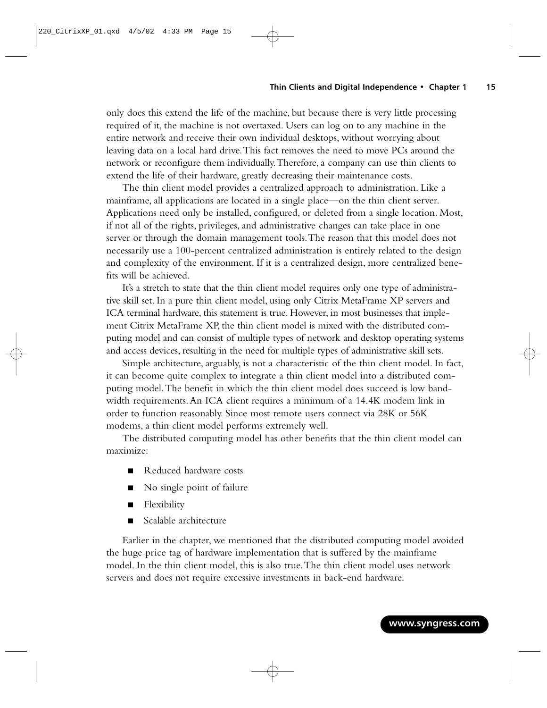only does this extend the life of the machine, but because there is very little processing required of it, the machine is not overtaxed. Users can log on to any machine in the entire network and receive their own individual desktops, without worrying about leaving data on a local hard drive.This fact removes the need to move PCs around the network or reconfigure them individually.Therefore, a company can use thin clients to extend the life of their hardware, greatly decreasing their maintenance costs.

The thin client model provides a centralized approach to administration. Like a mainframe, all applications are located in a single place—on the thin client server. Applications need only be installed, configured, or deleted from a single location. Most, if not all of the rights, privileges, and administrative changes can take place in one server or through the domain management tools.The reason that this model does not necessarily use a 100-percent centralized administration is entirely related to the design and complexity of the environment. If it is a centralized design, more centralized benefits will be achieved.

It's a stretch to state that the thin client model requires only one type of administrative skill set. In a pure thin client model, using only Citrix MetaFrame XP servers and ICA terminal hardware, this statement is true. However, in most businesses that implement Citrix MetaFrame XP, the thin client model is mixed with the distributed computing model and can consist of multiple types of network and desktop operating systems and access devices, resulting in the need for multiple types of administrative skill sets.

Simple architecture, arguably, is not a characteristic of the thin client model. In fact, it can become quite complex to integrate a thin client model into a distributed computing model.The benefit in which the thin client model does succeed is low bandwidth requirements.An ICA client requires a minimum of a 14.4K modem link in order to function reasonably. Since most remote users connect via 28K or 56K modems, a thin client model performs extremely well.

The distributed computing model has other benefits that the thin client model can maximize:

- Reduced hardware costs
- No single point of failure
- Flexibility
- Scalable architecture

Earlier in the chapter, we mentioned that the distributed computing model avoided the huge price tag of hardware implementation that is suffered by the mainframe model. In the thin client model, this is also true.The thin client model uses network servers and does not require excessive investments in back-end hardware.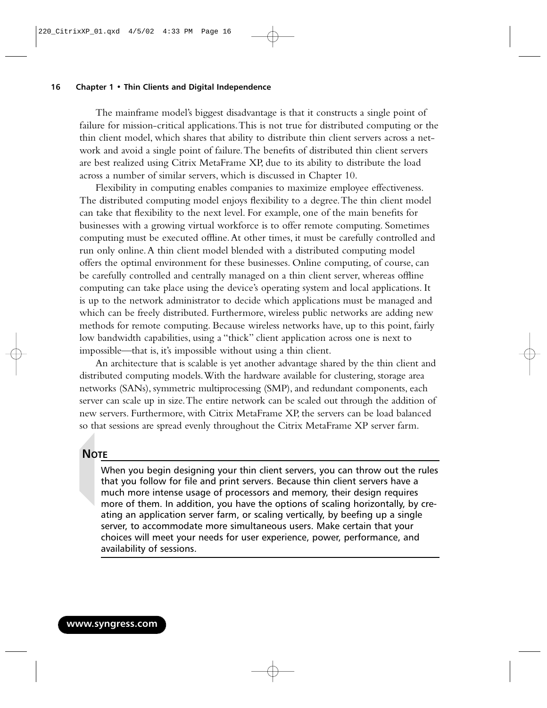The mainframe model's biggest disadvantage is that it constructs a single point of failure for mission-critical applications.This is not true for distributed computing or the thin client model, which shares that ability to distribute thin client servers across a network and avoid a single point of failure.The benefits of distributed thin client servers are best realized using Citrix MetaFrame XP, due to its ability to distribute the load across a number of similar servers, which is discussed in Chapter 10.

Flexibility in computing enables companies to maximize employee effectiveness. The distributed computing model enjoys flexibility to a degree.The thin client model can take that flexibility to the next level. For example, one of the main benefits for businesses with a growing virtual workforce is to offer remote computing. Sometimes computing must be executed offline.At other times, it must be carefully controlled and run only online.A thin client model blended with a distributed computing model offers the optimal environment for these businesses. Online computing, of course, can be carefully controlled and centrally managed on a thin client server, whereas offline computing can take place using the device's operating system and local applications. It is up to the network administrator to decide which applications must be managed and which can be freely distributed. Furthermore, wireless public networks are adding new methods for remote computing. Because wireless networks have, up to this point, fairly low bandwidth capabilities, using a "thick" client application across one is next to impossible—that is, it's impossible without using a thin client.

An architecture that is scalable is yet another advantage shared by the thin client and distributed computing models.With the hardware available for clustering, storage area networks (SANs), symmetric multiprocessing (SMP), and redundant components, each server can scale up in size.The entire network can be scaled out through the addition of new servers. Furthermore, with Citrix MetaFrame XP, the servers can be load balanced so that sessions are spread evenly throughout the Citrix MetaFrame XP server farm.

#### **NOTE**

When you begin designing your thin client servers, you can throw out the rules that you follow for file and print servers. Because thin client servers have a much more intense usage of processors and memory, their design requires more of them. In addition, you have the options of scaling horizontally, by creating an application server farm, or scaling vertically, by beefing up a single server, to accommodate more simultaneous users. Make certain that your choices will meet your needs for user experience, power, performance, and availability of sessions.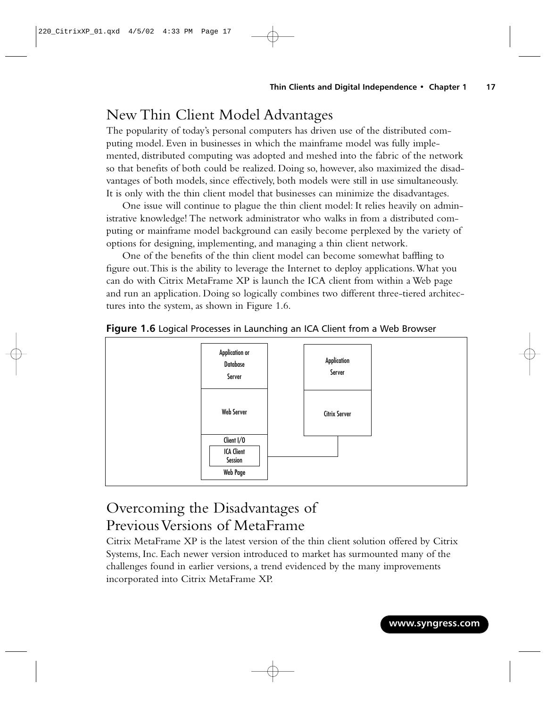## New Thin Client Model Advantages

The popularity of today's personal computers has driven use of the distributed computing model. Even in businesses in which the mainframe model was fully implemented, distributed computing was adopted and meshed into the fabric of the network so that benefits of both could be realized. Doing so, however, also maximized the disadvantages of both models, since effectively, both models were still in use simultaneously. It is only with the thin client model that businesses can minimize the disadvantages.

One issue will continue to plague the thin client model: It relies heavily on administrative knowledge! The network administrator who walks in from a distributed computing or mainframe model background can easily become perplexed by the variety of options for designing, implementing, and managing a thin client network.

One of the benefits of the thin client model can become somewhat baffling to figure out.This is the ability to leverage the Internet to deploy applications.What you can do with Citrix MetaFrame XP is launch the ICA client from within a Web page and run an application. Doing so logically combines two different three-tiered architectures into the system, as shown in Figure 1.6.



**Figure 1.6** Logical Processes in Launching an ICA Client from a Web Browser

## Overcoming the Disadvantages of Previous Versions of MetaFrame

Citrix MetaFrame XP is the latest version of the thin client solution offered by Citrix Systems, Inc. Each newer version introduced to market has surmounted many of the challenges found in earlier versions, a trend evidenced by the many improvements incorporated into Citrix MetaFrame XP.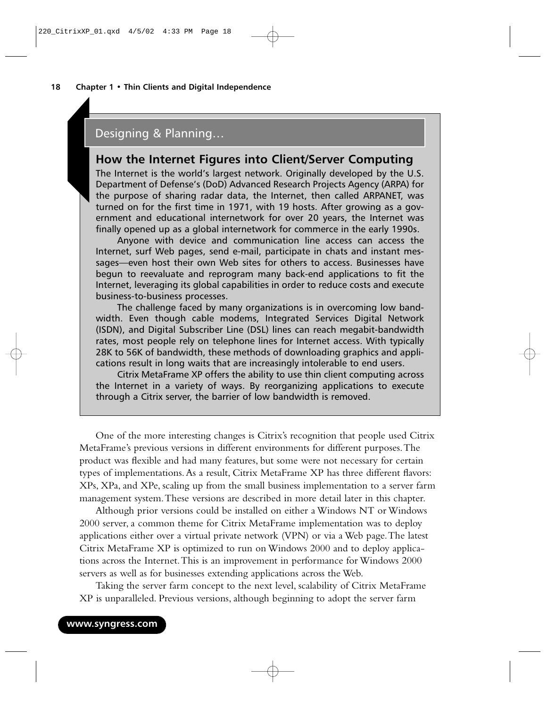### Designing & Planning…

#### **How the Internet Figures into Client/Server Computing**

The Internet is the world's largest network. Originally developed by the U.S. Department of Defense's (DoD) Advanced Research Projects Agency (ARPA) for the purpose of sharing radar data, the Internet, then called ARPANET, was turned on for the first time in 1971, with 19 hosts. After growing as a government and educational internetwork for over 20 years, the Internet was finally opened up as a global internetwork for commerce in the early 1990s.

Anyone with device and communication line access can access the Internet, surf Web pages, send e-mail, participate in chats and instant messages—even host their own Web sites for others to access. Businesses have begun to reevaluate and reprogram many back-end applications to fit the Internet, leveraging its global capabilities in order to reduce costs and execute business-to-business processes.

The challenge faced by many organizations is in overcoming low bandwidth. Even though cable modems, Integrated Services Digital Network (ISDN), and Digital Subscriber Line (DSL) lines can reach megabit-bandwidth rates, most people rely on telephone lines for Internet access. With typically 28K to 56K of bandwidth, these methods of downloading graphics and applications result in long waits that are increasingly intolerable to end users.

Citrix MetaFrame XP offers the ability to use thin client computing across the Internet in a variety of ways. By reorganizing applications to execute through a Citrix server, the barrier of low bandwidth is removed.

One of the more interesting changes is Citrix's recognition that people used Citrix MetaFrame's previous versions in different environments for different purposes.The product was flexible and had many features, but some were not necessary for certain types of implementations.As a result, Citrix MetaFrame XP has three different flavors: XPs, XPa, and XPe, scaling up from the small business implementation to a server farm management system.These versions are described in more detail later in this chapter.

Although prior versions could be installed on either a Windows NT or Windows 2000 server, a common theme for Citrix MetaFrame implementation was to deploy applications either over a virtual private network (VPN) or via a Web page.The latest Citrix MetaFrame XP is optimized to run on Windows 2000 and to deploy applications across the Internet.This is an improvement in performance for Windows 2000 servers as well as for businesses extending applications across the Web.

Taking the server farm concept to the next level, scalability of Citrix MetaFrame XP is unparalleled. Previous versions, although beginning to adopt the server farm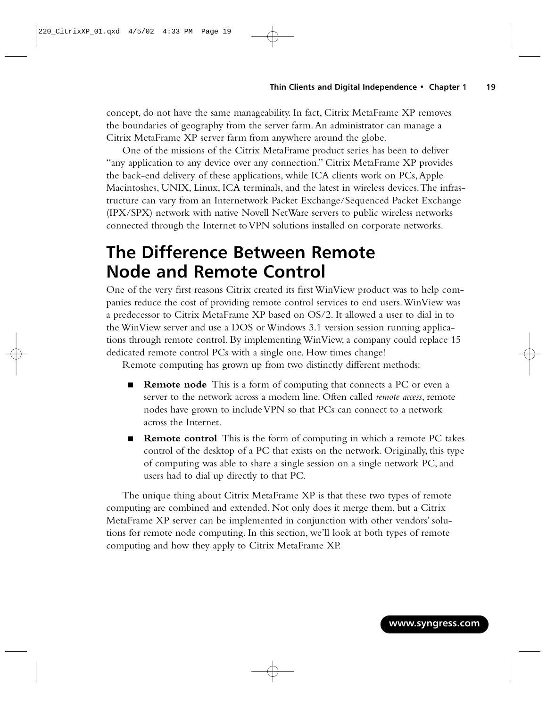concept, do not have the same manageability. In fact, Citrix MetaFrame XP removes the boundaries of geography from the server farm.An administrator can manage a Citrix MetaFrame XP server farm from anywhere around the globe.

One of the missions of the Citrix MetaFrame product series has been to deliver "any application to any device over any connection." Citrix MetaFrame XP provides the back-end delivery of these applications, while ICA clients work on PCs,Apple Macintoshes, UNIX, Linux, ICA terminals, and the latest in wireless devices.The infrastructure can vary from an Internetwork Packet Exchange/Sequenced Packet Exchange (IPX/SPX) network with native Novell NetWare servers to public wireless networks connected through the Internet to VPN solutions installed on corporate networks.

# **The Difference Between Remote Node and Remote Control**

One of the very first reasons Citrix created its first WinView product was to help companies reduce the cost of providing remote control services to end users.WinView was a predecessor to Citrix MetaFrame XP based on OS/2. It allowed a user to dial in to the WinView server and use a DOS or Windows 3.1 version session running applications through remote control. By implementing WinView, a company could replace 15 dedicated remote control PCs with a single one. How times change!

Remote computing has grown up from two distinctly different methods:

- **Remote node** This is a form of computing that connects a PC or even a server to the network across a modem line. Often called *remote access*, remote nodes have grown to include VPN so that PCs can connect to a network across the Internet.
- **Remote control** This is the form of computing in which a remote PC takes control of the desktop of a PC that exists on the network. Originally, this type of computing was able to share a single session on a single network PC, and users had to dial up directly to that PC.

The unique thing about Citrix MetaFrame XP is that these two types of remote computing are combined and extended. Not only does it merge them, but a Citrix MetaFrame XP server can be implemented in conjunction with other vendors' solutions for remote node computing. In this section, we'll look at both types of remote computing and how they apply to Citrix MetaFrame XP.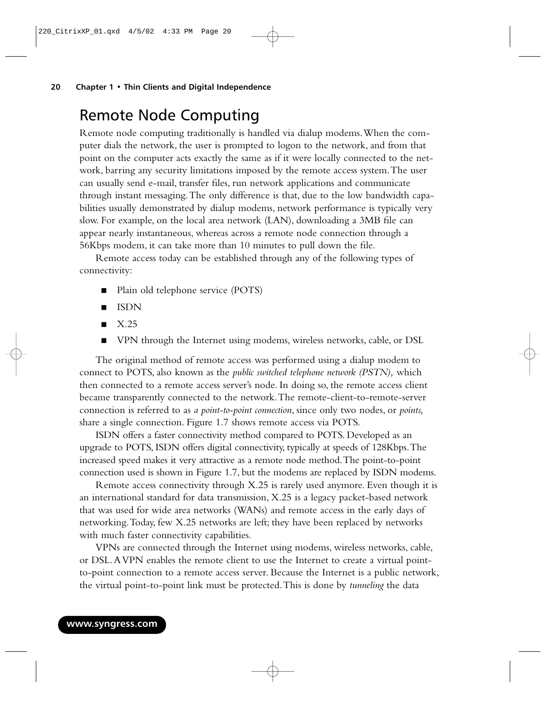### Remote Node Computing

Remote node computing traditionally is handled via dialup modems.When the computer dials the network, the user is prompted to logon to the network, and from that point on the computer acts exactly the same as if it were locally connected to the network, barring any security limitations imposed by the remote access system.The user can usually send e-mail, transfer files, run network applications and communicate through instant messaging.The only difference is that, due to the low bandwidth capabilities usually demonstrated by dialup modems, network performance is typically very slow. For example, on the local area network (LAN), downloading a 3MB file can appear nearly instantaneous, whereas across a remote node connection through a 56Kbps modem, it can take more than 10 minutes to pull down the file.

Remote access today can be established through any of the following types of connectivity:

- Plain old telephone service (POTS)
- ISDN
- X.25
- VPN through the Internet using modems, wireless networks, cable, or DSL

The original method of remote access was performed using a dialup modem to connect to POTS, also known as the *public switched telephone network (PSTN),* which then connected to a remote access server's node. In doing so, the remote access client became transparently connected to the network.The remote-client-to-remote-server connection is referred to as *a point-to-point connection*, since only two nodes, or *points,* share a single connection. Figure 1.7 shows remote access via POTS.

ISDN offers a faster connectivity method compared to POTS. Developed as an upgrade to POTS, ISDN offers digital connectivity, typically at speeds of 128Kbps.The increased speed makes it very attractive as a remote node method.The point-to-point connection used is shown in Figure 1.7, but the modems are replaced by ISDN modems.

Remote access connectivity through X.25 is rarely used anymore. Even though it is an international standard for data transmission, X.25 is a legacy packet-based network that was used for wide area networks (WANs) and remote access in the early days of networking.Today, few X.25 networks are left; they have been replaced by networks with much faster connectivity capabilities.

VPNs are connected through the Internet using modems, wireless networks, cable, or DSL.A VPN enables the remote client to use the Internet to create a virtual pointto-point connection to a remote access server. Because the Internet is a public network, the virtual point-to-point link must be protected.This is done by *tunneling* the data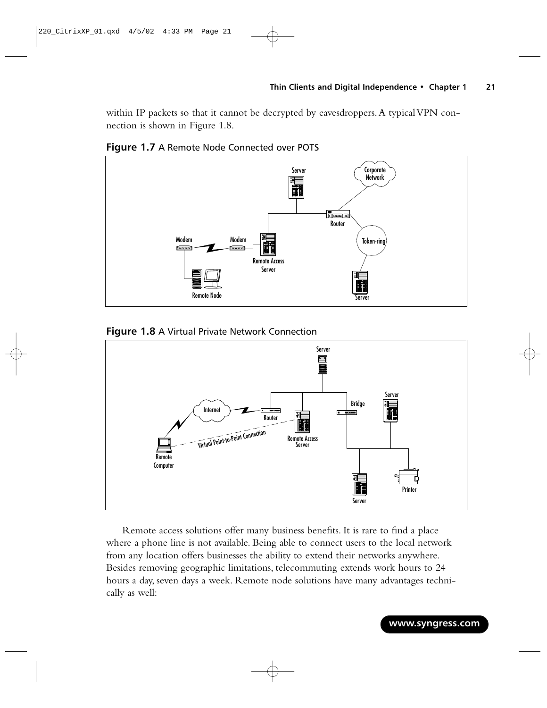within IP packets so that it cannot be decrypted by eavesdroppers. A typical VPN connection is shown in Figure 1.8.



**Figure 1.7** A Remote Node Connected over POTS

**Figure 1.8** A Virtual Private Network Connection



Remote access solutions offer many business benefits. It is rare to find a place where a phone line is not available. Being able to connect users to the local network from any location offers businesses the ability to extend their networks anywhere. Besides removing geographic limitations, telecommuting extends work hours to 24 hours a day, seven days a week. Remote node solutions have many advantages technically as well: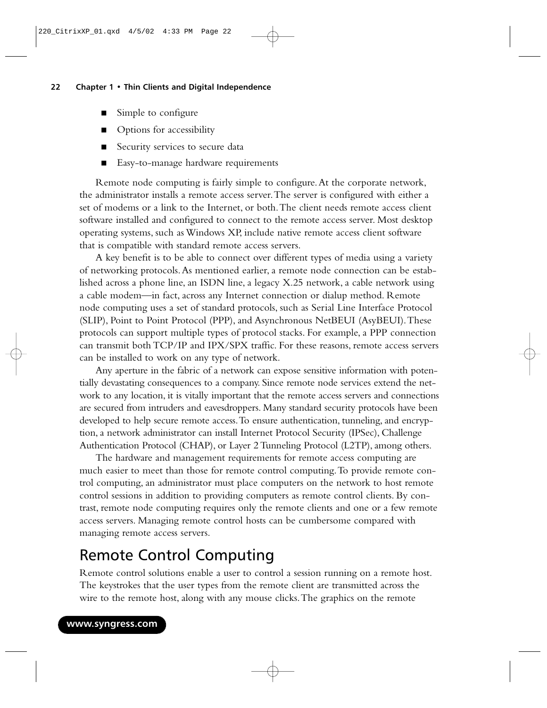- Simple to configure
- Options for accessibility
- Security services to secure data
- Easy-to-manage hardware requirements

Remote node computing is fairly simple to configure.At the corporate network, the administrator installs a remote access server.The server is configured with either a set of modems or a link to the Internet, or both.The client needs remote access client software installed and configured to connect to the remote access server. Most desktop operating systems, such as Windows XP, include native remote access client software that is compatible with standard remote access servers.

A key benefit is to be able to connect over different types of media using a variety of networking protocols.As mentioned earlier, a remote node connection can be established across a phone line, an ISDN line, a legacy X.25 network, a cable network using a cable modem—in fact, across any Internet connection or dialup method. Remote node computing uses a set of standard protocols, such as Serial Line Interface Protocol (SLIP), Point to Point Protocol (PPP), and Asynchronous NetBEUI (AsyBEUI).These protocols can support multiple types of protocol stacks. For example, a PPP connection can transmit both TCP/IP and IPX/SPX traffic. For these reasons, remote access servers can be installed to work on any type of network.

Any aperture in the fabric of a network can expose sensitive information with potentially devastating consequences to a company. Since remote node services extend the network to any location, it is vitally important that the remote access servers and connections are secured from intruders and eavesdroppers. Many standard security protocols have been developed to help secure remote access.To ensure authentication, tunneling, and encryption, a network administrator can install Internet Protocol Security (IPSec), Challenge Authentication Protocol (CHAP), or Layer 2 Tunneling Protocol (L2TP), among others.

The hardware and management requirements for remote access computing are much easier to meet than those for remote control computing.To provide remote control computing, an administrator must place computers on the network to host remote control sessions in addition to providing computers as remote control clients. By contrast, remote node computing requires only the remote clients and one or a few remote access servers. Managing remote control hosts can be cumbersome compared with managing remote access servers.

# Remote Control Computing

Remote control solutions enable a user to control a session running on a remote host. The keystrokes that the user types from the remote client are transmitted across the wire to the remote host, along with any mouse clicks.The graphics on the remote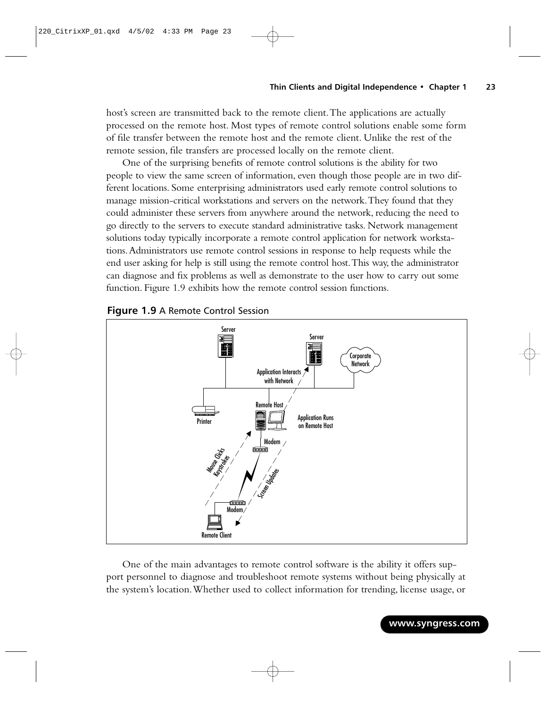host's screen are transmitted back to the remote client.The applications are actually processed on the remote host. Most types of remote control solutions enable some form of file transfer between the remote host and the remote client. Unlike the rest of the remote session, file transfers are processed locally on the remote client.

One of the surprising benefits of remote control solutions is the ability for two people to view the same screen of information, even though those people are in two different locations. Some enterprising administrators used early remote control solutions to manage mission-critical workstations and servers on the network.They found that they could administer these servers from anywhere around the network, reducing the need to go directly to the servers to execute standard administrative tasks. Network management solutions today typically incorporate a remote control application for network workstations.Administrators use remote control sessions in response to help requests while the end user asking for help is still using the remote control host.This way, the administrator can diagnose and fix problems as well as demonstrate to the user how to carry out some function. Figure 1.9 exhibits how the remote control session functions.



#### **Figure 1.9** A Remote Control Session

One of the main advantages to remote control software is the ability it offers support personnel to diagnose and troubleshoot remote systems without being physically at the system's location.Whether used to collect information for trending, license usage, or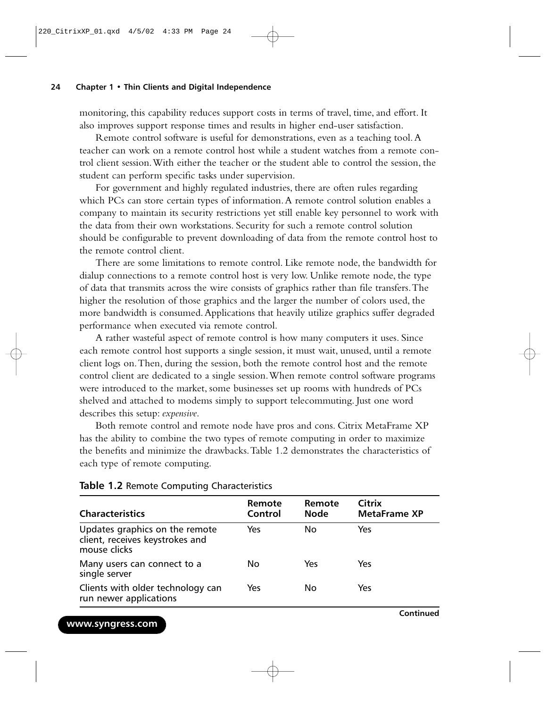monitoring, this capability reduces support costs in terms of travel, time, and effort. It also improves support response times and results in higher end-user satisfaction.

Remote control software is useful for demonstrations, even as a teaching tool.A teacher can work on a remote control host while a student watches from a remote control client session.With either the teacher or the student able to control the session, the student can perform specific tasks under supervision.

For government and highly regulated industries, there are often rules regarding which PCs can store certain types of information. A remote control solution enables a company to maintain its security restrictions yet still enable key personnel to work with the data from their own workstations. Security for such a remote control solution should be configurable to prevent downloading of data from the remote control host to the remote control client.

There are some limitations to remote control. Like remote node, the bandwidth for dialup connections to a remote control host is very low. Unlike remote node, the type of data that transmits across the wire consists of graphics rather than file transfers.The higher the resolution of those graphics and the larger the number of colors used, the more bandwidth is consumed.Applications that heavily utilize graphics suffer degraded performance when executed via remote control.

A rather wasteful aspect of remote control is how many computers it uses. Since each remote control host supports a single session, it must wait, unused, until a remote client logs on.Then, during the session, both the remote control host and the remote control client are dedicated to a single session.When remote control software programs were introduced to the market, some businesses set up rooms with hundreds of PCs shelved and attached to modems simply to support telecommuting. Just one word describes this setup: *expensive*.

Both remote control and remote node have pros and cons. Citrix MetaFrame XP has the ability to combine the two types of remote computing in order to maximize the benefits and minimize the drawbacks.Table 1.2 demonstrates the characteristics of each type of remote computing.

| <b>Characteristics</b>                                                            | Remote<br>Control | Remote<br><b>Node</b> | Citrix<br><b>MetaFrame XP</b> |
|-----------------------------------------------------------------------------------|-------------------|-----------------------|-------------------------------|
| Updates graphics on the remote<br>client, receives keystrokes and<br>mouse clicks | Yes               | No                    | Yes                           |
| Many users can connect to a<br>single server                                      | No                | Yes                   | Yes                           |
| Clients with older technology can<br>run newer applications                       | Yes               | No                    | Yes                           |

#### **Table 1.2** Remote Computing Characteristics

#### **www.syngress.com**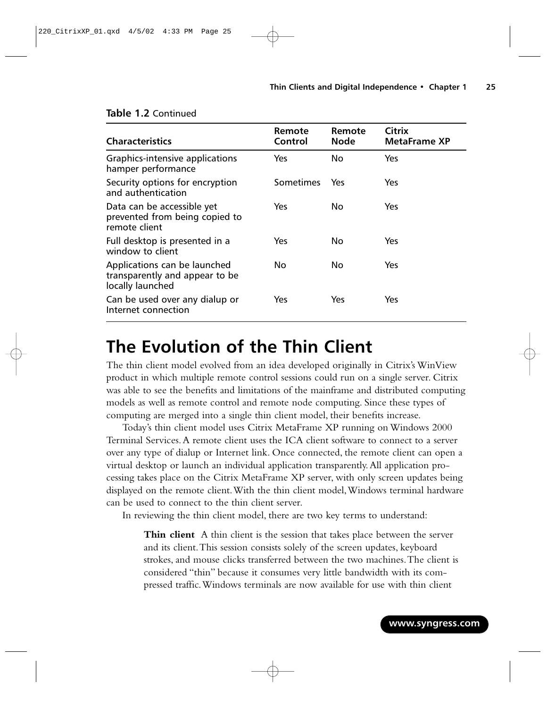| <b>Characteristics</b>                                                             | Remote<br>Control | Remote<br><b>Node</b> | Citrix<br><b>MetaFrame XP</b> |
|------------------------------------------------------------------------------------|-------------------|-----------------------|-------------------------------|
| Graphics-intensive applications<br>hamper performance                              | Yes               | No                    | Yes                           |
| Security options for encryption<br>and authentication                              | Sometimes         | <b>Yes</b>            | Yes                           |
| Data can be accessible yet<br>prevented from being copied to<br>remote client      | Yes               | No.                   | Yes                           |
| Full desktop is presented in a<br>window to client                                 | Yes               | No                    | Yes                           |
| Applications can be launched<br>transparently and appear to be<br>locally launched | No                | No.                   | Yes                           |
| Can be used over any dialup or<br>Internet connection                              | Yes               | Yes                   | Yes                           |

#### **Table 1.2** Continued

# **The Evolution of the Thin Client**

The thin client model evolved from an idea developed originally in Citrix's WinView product in which multiple remote control sessions could run on a single server. Citrix was able to see the benefits and limitations of the mainframe and distributed computing models as well as remote control and remote node computing. Since these types of computing are merged into a single thin client model, their benefits increase.

Today's thin client model uses Citrix MetaFrame XP running on Windows 2000 Terminal Services.A remote client uses the ICA client software to connect to a server over any type of dialup or Internet link. Once connected, the remote client can open a virtual desktop or launch an individual application transparently.All application processing takes place on the Citrix MetaFrame XP server, with only screen updates being displayed on the remote client.With the thin client model,Windows terminal hardware can be used to connect to the thin client server.

In reviewing the thin client model, there are two key terms to understand:

**Thin client** A thin client is the session that takes place between the server and its client.This session consists solely of the screen updates, keyboard strokes, and mouse clicks transferred between the two machines.The client is considered "thin" because it consumes very little bandwidth with its compressed traffic.Windows terminals are now available for use with thin client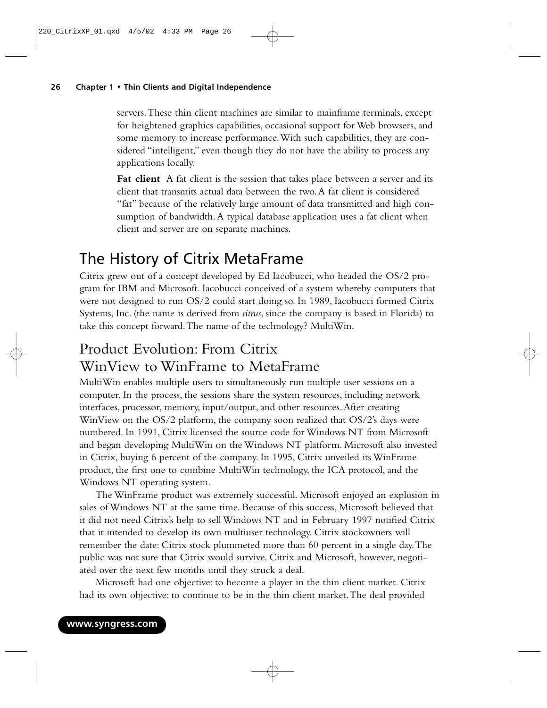servers.These thin client machines are similar to mainframe terminals, except for heightened graphics capabilities, occasional support for Web browsers, and some memory to increase performance.With such capabilities, they are considered "intelligent," even though they do not have the ability to process any applications locally.

**Fat client** A fat client is the session that takes place between a server and its client that transmits actual data between the two.A fat client is considered "fat" because of the relatively large amount of data transmitted and high consumption of bandwidth.A typical database application uses a fat client when client and server are on separate machines.

# The History of Citrix MetaFrame

Citrix grew out of a concept developed by Ed Iacobucci, who headed the OS/2 program for IBM and Microsoft. Iacobucci conceived of a system whereby computers that were not designed to run OS/2 could start doing so. In 1989, Iacobucci formed Citrix Systems, Inc. (the name is derived from *citrus*, since the company is based in Florida) to take this concept forward.The name of the technology? MultiWin.

## Product Evolution: From Citrix WinView to WinFrame to MetaFrame

MultiWin enables multiple users to simultaneously run multiple user sessions on a computer. In the process, the sessions share the system resources, including network interfaces, processor, memory, input/output, and other resources.After creating WinView on the OS/2 platform, the company soon realized that OS/2's days were numbered. In 1991, Citrix licensed the source code for Windows NT from Microsoft and began developing MultiWin on the Windows NT platform. Microsoft also invested in Citrix, buying 6 percent of the company. In 1995, Citrix unveiled its WinFrame product, the first one to combine MultiWin technology, the ICA protocol, and the Windows NT operating system.

The WinFrame product was extremely successful. Microsoft enjoyed an explosion in sales of Windows NT at the same time. Because of this success, Microsoft believed that it did not need Citrix's help to sell Windows NT and in February 1997 notified Citrix that it intended to develop its own multiuser technology. Citrix stockowners will remember the date: Citrix stock plummeted more than 60 percent in a single day.The public was not sure that Citrix would survive. Citrix and Microsoft, however, negotiated over the next few months until they struck a deal.

Microsoft had one objective: to become a player in the thin client market. Citrix had its own objective: to continue to be in the thin client market.The deal provided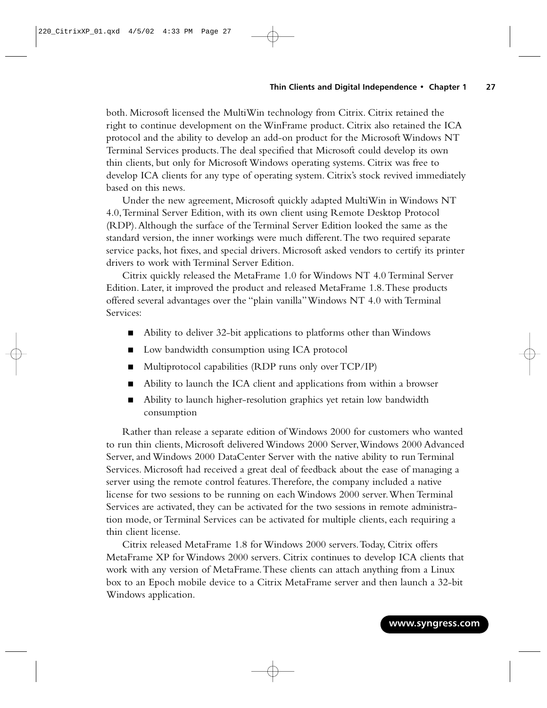both. Microsoft licensed the MultiWin technology from Citrix. Citrix retained the right to continue development on the WinFrame product. Citrix also retained the ICA protocol and the ability to develop an add-on product for the Microsoft Windows NT Terminal Services products.The deal specified that Microsoft could develop its own thin clients, but only for Microsoft Windows operating systems. Citrix was free to develop ICA clients for any type of operating system. Citrix's stock revived immediately based on this news.

Under the new agreement, Microsoft quickly adapted MultiWin in Windows NT 4.0,Terminal Server Edition, with its own client using Remote Desktop Protocol (RDP).Although the surface of the Terminal Server Edition looked the same as the standard version, the inner workings were much different.The two required separate service packs, hot fixes, and special drivers. Microsoft asked vendors to certify its printer drivers to work with Terminal Server Edition.

Citrix quickly released the MetaFrame 1.0 for Windows NT 4.0 Terminal Server Edition. Later, it improved the product and released MetaFrame 1.8.These products offered several advantages over the "plain vanilla"Windows NT 4.0 with Terminal Services:

- Ability to deliver 32-bit applications to platforms other than Windows
- Low bandwidth consumption using ICA protocol
- Multiprotocol capabilities (RDP runs only over TCP/IP)
- Ability to launch the ICA client and applications from within a browser
- Ability to launch higher-resolution graphics yet retain low bandwidth consumption

Rather than release a separate edition of Windows 2000 for customers who wanted to run thin clients, Microsoft delivered Windows 2000 Server,Windows 2000 Advanced Server, and Windows 2000 DataCenter Server with the native ability to run Terminal Services. Microsoft had received a great deal of feedback about the ease of managing a server using the remote control features.Therefore, the company included a native license for two sessions to be running on each Windows 2000 server.When Terminal Services are activated, they can be activated for the two sessions in remote administration mode, or Terminal Services can be activated for multiple clients, each requiring a thin client license.

Citrix released MetaFrame 1.8 for Windows 2000 servers.Today, Citrix offers MetaFrame XP for Windows 2000 servers. Citrix continues to develop ICA clients that work with any version of MetaFrame.These clients can attach anything from a Linux box to an Epoch mobile device to a Citrix MetaFrame server and then launch a 32-bit Windows application.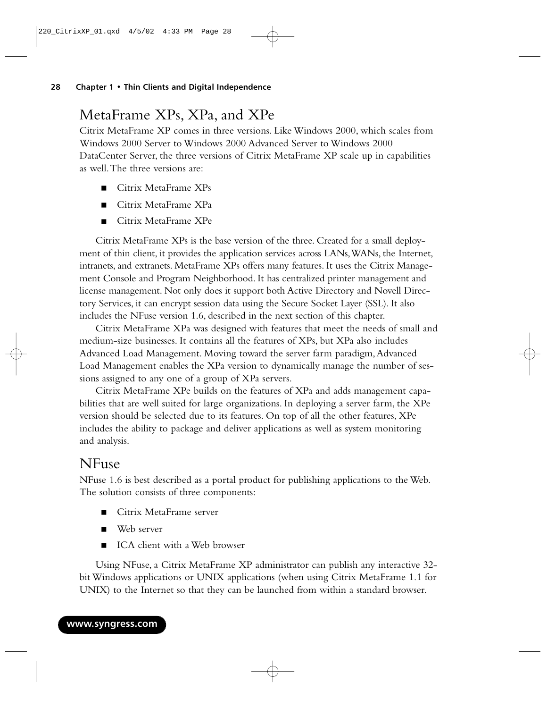## MetaFrame XPs, XPa, and XPe

Citrix MetaFrame XP comes in three versions. Like Windows 2000, which scales from Windows 2000 Server to Windows 2000 Advanced Server to Windows 2000 DataCenter Server, the three versions of Citrix MetaFrame XP scale up in capabilities as well.The three versions are:

- Citrix MetaFrame XPs
- Citrix MetaFrame XPa
- Citrix MetaFrame XPe

Citrix MetaFrame XPs is the base version of the three. Created for a small deployment of thin client, it provides the application services across LANs, WANs, the Internet, intranets, and extranets. MetaFrame XPs offers many features. It uses the Citrix Management Console and Program Neighborhood. It has centralized printer management and license management. Not only does it support both Active Directory and Novell Directory Services, it can encrypt session data using the Secure Socket Layer (SSL). It also includes the NFuse version 1.6, described in the next section of this chapter.

Citrix MetaFrame XPa was designed with features that meet the needs of small and medium-size businesses. It contains all the features of XPs, but XPa also includes Advanced Load Management. Moving toward the server farm paradigm,Advanced Load Management enables the XPa version to dynamically manage the number of sessions assigned to any one of a group of XPa servers.

Citrix MetaFrame XPe builds on the features of XPa and adds management capabilities that are well suited for large organizations. In deploying a server farm, the XPe version should be selected due to its features. On top of all the other features, XPe includes the ability to package and deliver applications as well as system monitoring and analysis.

### NFuse

NFuse 1.6 is best described as a portal product for publishing applications to the Web. The solution consists of three components:

- Citrix MetaFrame server
- Web server
- ICA client with a Web browser

Using NFuse, a Citrix MetaFrame XP administrator can publish any interactive 32 bit Windows applications or UNIX applications (when using Citrix MetaFrame 1.1 for UNIX) to the Internet so that they can be launched from within a standard browser.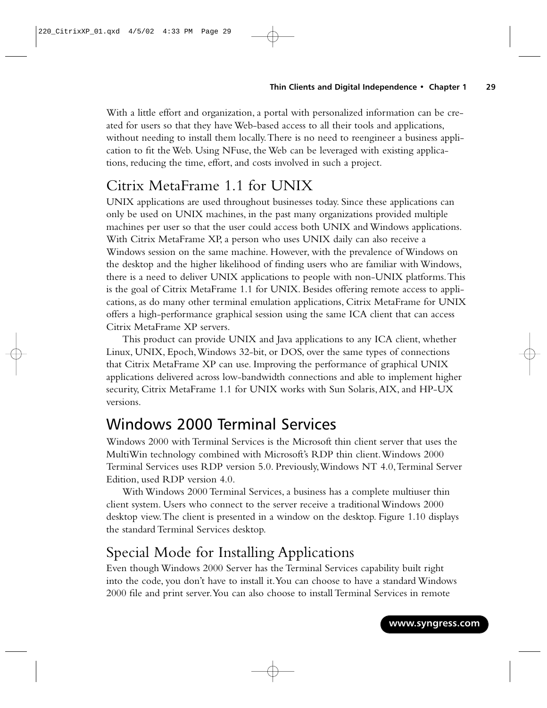With a little effort and organization, a portal with personalized information can be created for users so that they have Web-based access to all their tools and applications, without needing to install them locally.There is no need to reengineer a business application to fit the Web. Using NFuse, the Web can be leveraged with existing applications, reducing the time, effort, and costs involved in such a project.

### Citrix MetaFrame 1.1 for UNIX

UNIX applications are used throughout businesses today. Since these applications can only be used on UNIX machines, in the past many organizations provided multiple machines per user so that the user could access both UNIX and Windows applications. With Citrix MetaFrame XP, a person who uses UNIX daily can also receive a Windows session on the same machine. However, with the prevalence of Windows on the desktop and the higher likelihood of finding users who are familiar with Windows, there is a need to deliver UNIX applications to people with non-UNIX platforms.This is the goal of Citrix MetaFrame 1.1 for UNIX. Besides offering remote access to applications, as do many other terminal emulation applications, Citrix MetaFrame for UNIX offers a high-performance graphical session using the same ICA client that can access Citrix MetaFrame XP servers.

This product can provide UNIX and Java applications to any ICA client, whether Linux, UNIX, Epoch,Windows 32-bit, or DOS, over the same types of connections that Citrix MetaFrame XP can use. Improving the performance of graphical UNIX applications delivered across low-bandwidth connections and able to implement higher security, Citrix MetaFrame 1.1 for UNIX works with Sun Solaris,AIX, and HP-UX versions.

## Windows 2000 Terminal Services

Windows 2000 with Terminal Services is the Microsoft thin client server that uses the MultiWin technology combined with Microsoft's RDP thin client.Windows 2000 Terminal Services uses RDP version 5.0. Previously,Windows NT 4.0,Terminal Server Edition, used RDP version 4.0.

With Windows 2000 Terminal Services, a business has a complete multiuser thin client system. Users who connect to the server receive a traditional Windows 2000 desktop view.The client is presented in a window on the desktop. Figure 1.10 displays the standard Terminal Services desktop.

## Special Mode for Installing Applications

Even though Windows 2000 Server has the Terminal Services capability built right into the code, you don't have to install it.You can choose to have a standard Windows 2000 file and print server.You can also choose to install Terminal Services in remote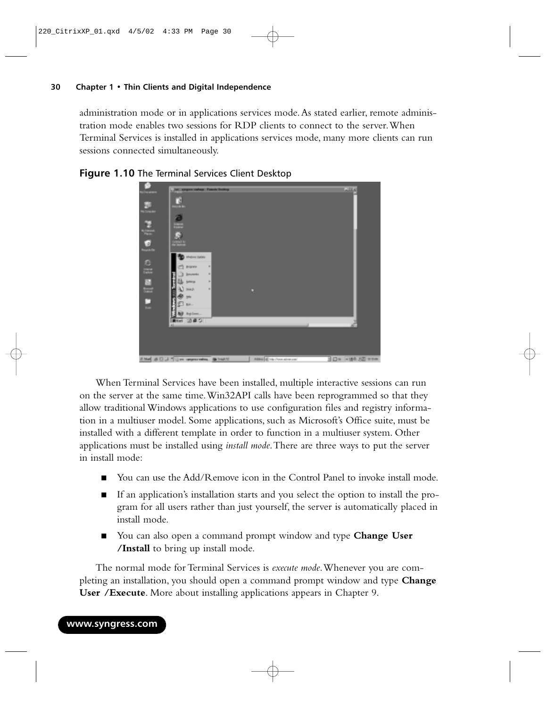administration mode or in applications services mode.As stated earlier, remote administration mode enables two sessions for RDP clients to connect to the server.When Terminal Services is installed in applications services mode, many more clients can run sessions connected simultaneously.





When Terminal Services have been installed, multiple interactive sessions can run on the server at the same time.Win32API calls have been reprogrammed so that they allow traditional Windows applications to use configuration files and registry information in a multiuser model. Some applications, such as Microsoft's Office suite, must be installed with a different template in order to function in a multiuser system. Other applications must be installed using *install mode*.There are three ways to put the server in install mode:

- You can use the Add/Remove icon in the Control Panel to invoke install mode.
- If an application's installation starts and you select the option to install the program for all users rather than just yourself, the server is automatically placed in install mode.
- You can also open a command prompt window and type **Change User /Install** to bring up install mode.

The normal mode for Terminal Services is *execute mode*.Whenever you are completing an installation, you should open a command prompt window and type **Change User /Execute**. More about installing applications appears in Chapter 9.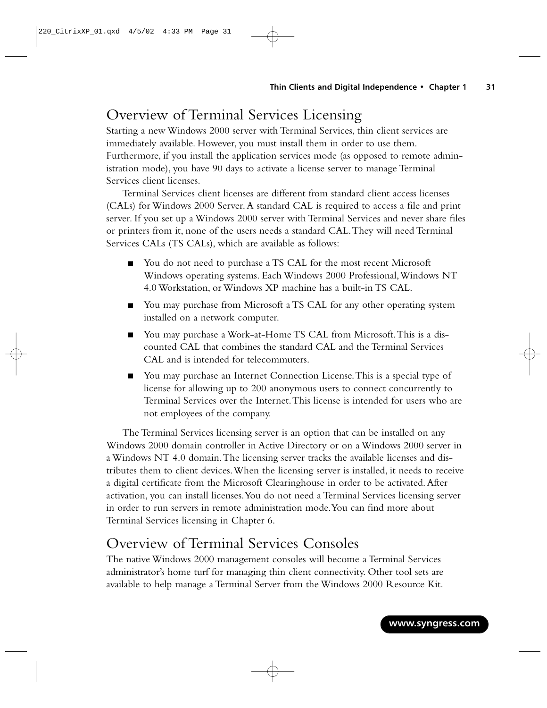# Overview of Terminal Services Licensing

Starting a new Windows 2000 server with Terminal Services, thin client services are immediately available. However, you must install them in order to use them. Furthermore, if you install the application services mode (as opposed to remote administration mode), you have 90 days to activate a license server to manage Terminal Services client licenses.

Terminal Services client licenses are different from standard client access licenses (CALs) for Windows 2000 Server.A standard CAL is required to access a file and print server. If you set up a Windows 2000 server with Terminal Services and never share files or printers from it, none of the users needs a standard CAL.They will need Terminal Services CALs (TS CALs), which are available as follows:

- You do not need to purchase a TS CAL for the most recent Microsoft Windows operating systems. Each Windows 2000 Professional,Windows NT 4.0 Workstation, or Windows XP machine has a built-in TS CAL.
- You may purchase from Microsoft a TS CAL for any other operating system installed on a network computer.
- You may purchase a Work-at-Home TS CAL from Microsoft. This is a discounted CAL that combines the standard CAL and the Terminal Services CAL and is intended for telecommuters.
- You may purchase an Internet Connection License. This is a special type of license for allowing up to 200 anonymous users to connect concurrently to Terminal Services over the Internet.This license is intended for users who are not employees of the company.

The Terminal Services licensing server is an option that can be installed on any Windows 2000 domain controller in Active Directory or on a Windows 2000 server in a Windows NT 4.0 domain.The licensing server tracks the available licenses and distributes them to client devices.When the licensing server is installed, it needs to receive a digital certificate from the Microsoft Clearinghouse in order to be activated.After activation, you can install licenses.You do not need a Terminal Services licensing server in order to run servers in remote administration mode.You can find more about Terminal Services licensing in Chapter 6.

### Overview of Terminal Services Consoles

The native Windows 2000 management consoles will become a Terminal Services administrator's home turf for managing thin client connectivity. Other tool sets are available to help manage a Terminal Server from the Windows 2000 Resource Kit.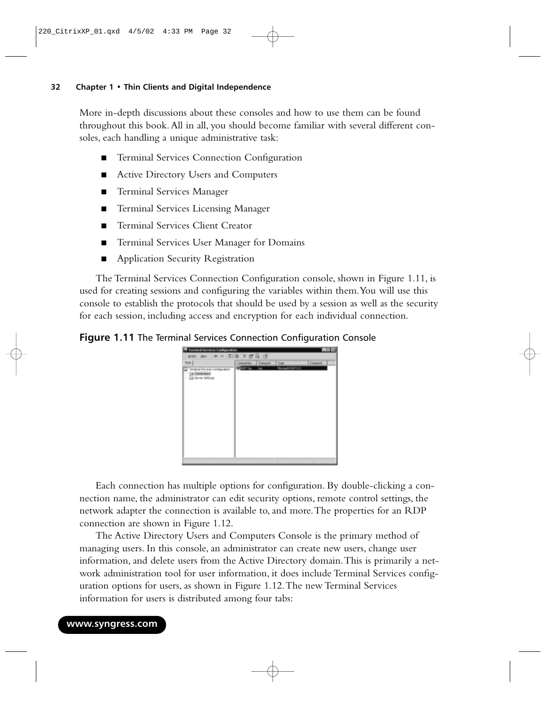More in-depth discussions about these consoles and how to use them can be found throughout this book.All in all, you should become familiar with several different consoles, each handling a unique administrative task:

- Terminal Services Connection Configuration
- Active Directory Users and Computers
- Terminal Services Manager
- Terminal Services Licensing Manager
- Terminal Services Client Creator
- Terminal Services User Manager for Domains
- Application Security Registration

The Terminal Services Connection Configuration console, shown in Figure 1.11, is used for creating sessions and configuring the variables within them.You will use this console to establish the protocols that should be used by a session as well as the security for each session, including access and encryption for each individual connection.

**Figure 1.11** The Terminal Services Connection Configuration Console



Each connection has multiple options for configuration. By double-clicking a connection name, the administrator can edit security options, remote control settings, the network adapter the connection is available to, and more.The properties for an RDP connection are shown in Figure 1.12.

The Active Directory Users and Computers Console is the primary method of managing users. In this console, an administrator can create new users, change user information, and delete users from the Active Directory domain.This is primarily a network administration tool for user information, it does include Terminal Services configuration options for users, as shown in Figure 1.12.The new Terminal Services information for users is distributed among four tabs: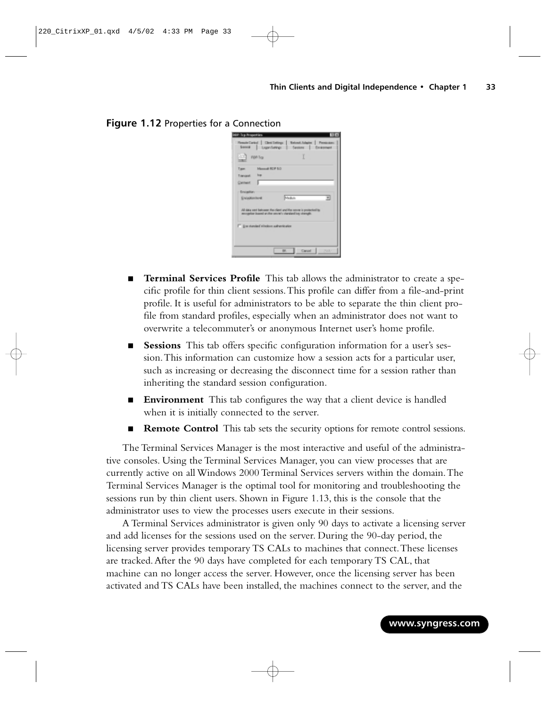| <b>201 nonse</b>      |                                         |                                                                                                                          | Ï |          |
|-----------------------|-----------------------------------------|--------------------------------------------------------------------------------------------------------------------------|---|----------|
| Tape                  | Manual ROP BO                           |                                                                                                                          |   |          |
| Transport             | <b>buy</b>                              |                                                                                                                          |   |          |
| Comer                 |                                         |                                                                                                                          |   |          |
| <b>Dramatian</b>      |                                         |                                                                                                                          |   |          |
| <b>Encyclositered</b> |                                         | Medium                                                                                                                   |   | <b>W</b> |
|                       |                                         |                                                                                                                          |   |          |
|                       |                                         | All side case between the client and the seven is protected to<br>accupitat issued antiba secret's standarding stangels. |   |          |
|                       |                                         |                                                                                                                          |   |          |
|                       | T ij as durched informats subservinging |                                                                                                                          |   |          |
|                       |                                         |                                                                                                                          |   |          |

#### **Figure 1.12** Properties for a Connection

- **Terminal Services Profile** This tab allows the administrator to create a specific profile for thin client sessions.This profile can differ from a file-and-print profile. It is useful for administrators to be able to separate the thin client profile from standard profiles, especially when an administrator does not want to overwrite a telecommuter's or anonymous Internet user's home profile.
- **Sessions** This tab offers specific configuration information for a user's session.This information can customize how a session acts for a particular user, such as increasing or decreasing the disconnect time for a session rather than inheriting the standard session configuration.
- **Environment** This tab configures the way that a client device is handled when it is initially connected to the server.
- **Remote Control** This tab sets the security options for remote control sessions.

The Terminal Services Manager is the most interactive and useful of the administrative consoles. Using the Terminal Services Manager, you can view processes that are currently active on all Windows 2000 Terminal Services servers within the domain.The Terminal Services Manager is the optimal tool for monitoring and troubleshooting the sessions run by thin client users. Shown in Figure 1.13, this is the console that the administrator uses to view the processes users execute in their sessions.

A Terminal Services administrator is given only 90 days to activate a licensing server and add licenses for the sessions used on the server. During the 90-day period, the licensing server provides temporary TS CALs to machines that connect.These licenses are tracked.After the 90 days have completed for each temporary TS CAL, that machine can no longer access the server. However, once the licensing server has been activated and TS CALs have been installed, the machines connect to the server, and the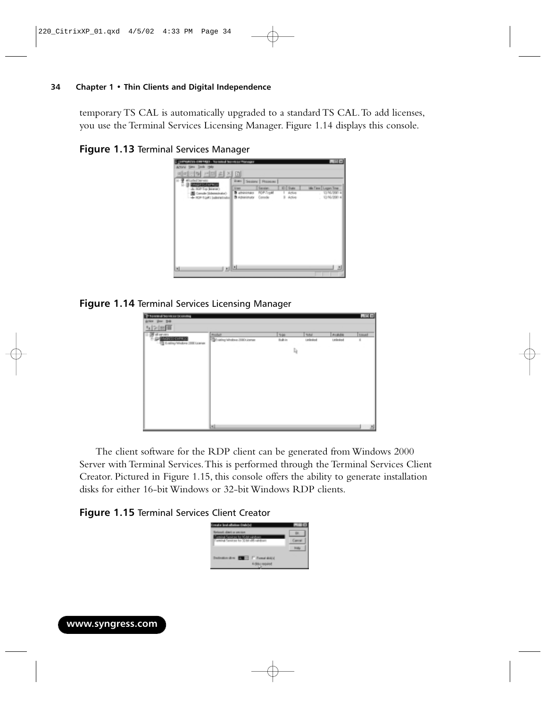#### **34 Chapter 1 • Thin Clients and Digital Independence**

temporary TS CAL is automatically upgraded to a standard TS CAL.To add licenses, you use the Terminal Services Licensing Manager. Figure 1.14 displays this console.

**Figure 1.13** Terminal Services Manager



**Figure 1.14** Terminal Services Licensing Manager

| drive the first<br>5 2 田戸                                                                                                                                               |                                               |                         |                   |                     |               |
|-------------------------------------------------------------------------------------------------------------------------------------------------------------------------|-----------------------------------------------|-------------------------|-------------------|---------------------|---------------|
| <b>Girl all servers</b><br>$\begin{minipage}{.4\linewidth} \begin{tabular}{l} \hline \multicolumn{1}{l}{} & \multicolumn{1}{l}{\textbf{C} \end{tabular} \end{minipage}$ | <b>Picket</b><br>Children Modern 2000 License | 7/09<br><b>Built</b> in | Total<br>Linkskod | Auduble<br>Linkskod | travet<br>si. |
| - 10 E-stro/Wedays 2000 License                                                                                                                                         |                                               | lì,                     |                   |                     |               |
|                                                                                                                                                                         |                                               |                         |                   |                     |               |
|                                                                                                                                                                         |                                               |                         |                   |                     |               |
|                                                                                                                                                                         |                                               |                         |                   |                     |               |
|                                                                                                                                                                         |                                               |                         |                   |                     |               |
|                                                                                                                                                                         |                                               |                         |                   |                     |               |
|                                                                                                                                                                         |                                               |                         |                   |                     |               |
|                                                                                                                                                                         |                                               |                         |                   |                     |               |
|                                                                                                                                                                         | ×t                                            |                         |                   |                     |               |

The client software for the RDP client can be generated from Windows 2000 Server with Terminal Services.This is performed through the Terminal Services Client Creator. Pictured in Figure 1.15, this console offers the ability to generate installation disks for either 16-bit Windows or 32-bit Windows RDP clients.

#### **Figure 1.15** Terminal Services Client Creator

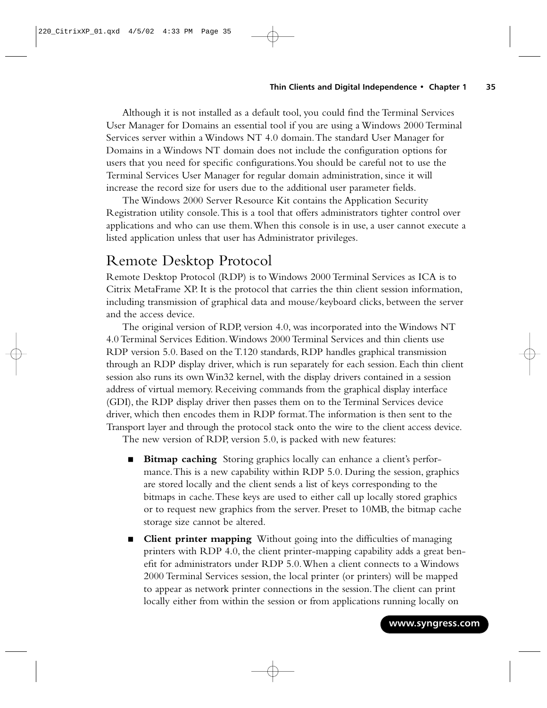Although it is not installed as a default tool, you could find the Terminal Services User Manager for Domains an essential tool if you are using a Windows 2000 Terminal Services server within a Windows NT 4.0 domain.The standard User Manager for Domains in a Windows NT domain does not include the configuration options for users that you need for specific configurations.You should be careful not to use the Terminal Services User Manager for regular domain administration, since it will increase the record size for users due to the additional user parameter fields.

The Windows 2000 Server Resource Kit contains the Application Security Registration utility console.This is a tool that offers administrators tighter control over applications and who can use them.When this console is in use, a user cannot execute a listed application unless that user has Administrator privileges.

### Remote Desktop Protocol

Remote Desktop Protocol (RDP) is to Windows 2000 Terminal Services as ICA is to Citrix MetaFrame XP. It is the protocol that carries the thin client session information, including transmission of graphical data and mouse/keyboard clicks, between the server and the access device.

The original version of RDP, version 4.0, was incorporated into the Windows NT 4.0 Terminal Services Edition.Windows 2000 Terminal Services and thin clients use RDP version 5.0. Based on the T.120 standards, RDP handles graphical transmission through an RDP display driver, which is run separately for each session. Each thin client session also runs its own Win32 kernel, with the display drivers contained in a session address of virtual memory. Receiving commands from the graphical display interface (GDI), the RDP display driver then passes them on to the Terminal Services device driver, which then encodes them in RDP format.The information is then sent to the Transport layer and through the protocol stack onto the wire to the client access device.

The new version of RDP, version 5.0, is packed with new features:

- **Bitmap caching** Storing graphics locally can enhance a client's performance.This is a new capability within RDP 5.0. During the session, graphics are stored locally and the client sends a list of keys corresponding to the bitmaps in cache.These keys are used to either call up locally stored graphics or to request new graphics from the server. Preset to 10MB, the bitmap cache storage size cannot be altered.
- **Client printer mapping** Without going into the difficulties of managing printers with RDP 4.0, the client printer-mapping capability adds a great benefit for administrators under RDP 5.0.When a client connects to a Windows 2000 Terminal Services session, the local printer (or printers) will be mapped to appear as network printer connections in the session.The client can print locally either from within the session or from applications running locally on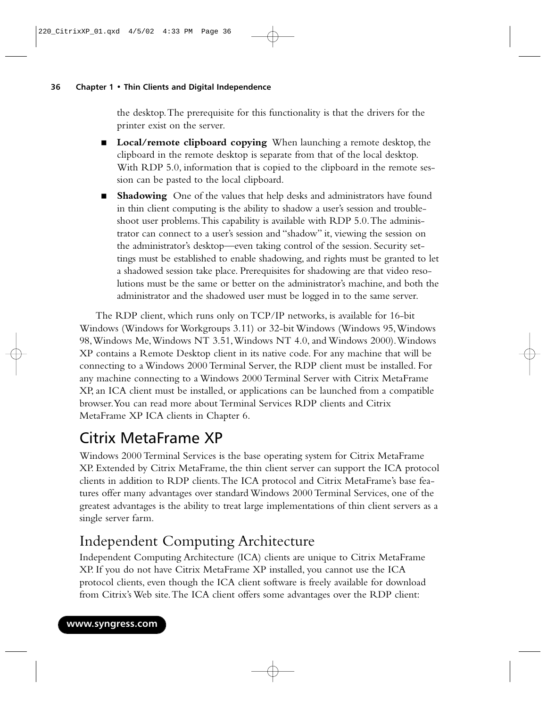the desktop.The prerequisite for this functionality is that the drivers for the printer exist on the server.

- **Local/remote clipboard copying** When launching a remote desktop, the clipboard in the remote desktop is separate from that of the local desktop. With RDP 5.0, information that is copied to the clipboard in the remote session can be pasted to the local clipboard.
- **Shadowing** One of the values that help desks and administrators have found in thin client computing is the ability to shadow a user's session and troubleshoot user problems.This capability is available with RDP 5.0.The administrator can connect to a user's session and "shadow" it, viewing the session on the administrator's desktop—even taking control of the session. Security settings must be established to enable shadowing, and rights must be granted to let a shadowed session take place. Prerequisites for shadowing are that video resolutions must be the same or better on the administrator's machine, and both the administrator and the shadowed user must be logged in to the same server.

The RDP client, which runs only on TCP/IP networks, is available for 16-bit Windows (Windows for Workgroups 3.11) or 32-bit Windows (Windows 95,Windows 98,Windows Me,Windows NT 3.51,Windows NT 4.0, and Windows 2000).Windows XP contains a Remote Desktop client in its native code. For any machine that will be connecting to a Windows 2000 Terminal Server, the RDP client must be installed. For any machine connecting to a Windows 2000 Terminal Server with Citrix MetaFrame XP, an ICA client must be installed, or applications can be launched from a compatible browser.You can read more about Terminal Services RDP clients and Citrix MetaFrame XP ICA clients in Chapter 6.

# Citrix MetaFrame XP

Windows 2000 Terminal Services is the base operating system for Citrix MetaFrame XP. Extended by Citrix MetaFrame, the thin client server can support the ICA protocol clients in addition to RDP clients.The ICA protocol and Citrix MetaFrame's base features offer many advantages over standard Windows 2000 Terminal Services, one of the greatest advantages is the ability to treat large implementations of thin client servers as a single server farm.

## Independent Computing Architecture

Independent Computing Architecture (ICA) clients are unique to Citrix MetaFrame XP. If you do not have Citrix MetaFrame XP installed, you cannot use the ICA protocol clients, even though the ICA client software is freely available for download from Citrix's Web site.The ICA client offers some advantages over the RDP client: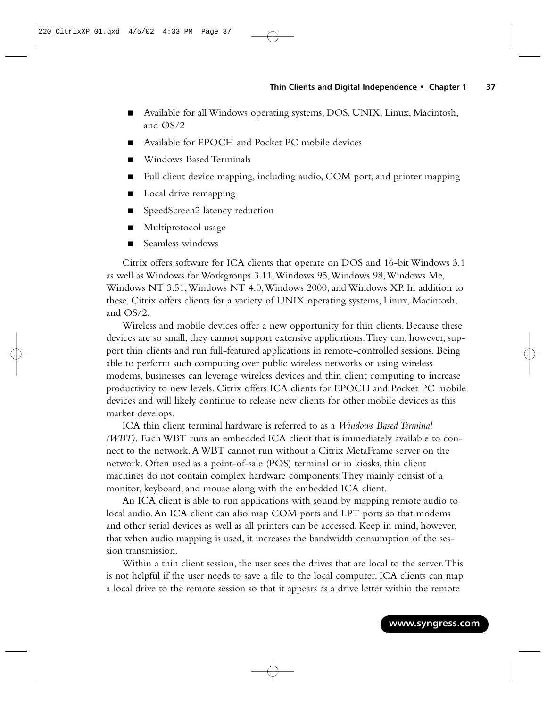- Available for all Windows operating systems, DOS, UNIX, Linux, Macintosh, and OS/2
- Available for EPOCH and Pocket PC mobile devices
- Windows Based Terminals
- Full client device mapping, including audio, COM port, and printer mapping
- Local drive remapping
- SpeedScreen2 latency reduction
- Multiprotocol usage
- Seamless windows

Citrix offers software for ICA clients that operate on DOS and 16-bit Windows 3.1 as well as Windows for Workgroups 3.11,Windows 95,Windows 98,Windows Me, Windows NT 3.51,Windows NT 4.0,Windows 2000, and Windows XP. In addition to these, Citrix offers clients for a variety of UNIX operating systems, Linux, Macintosh, and OS/2.

Wireless and mobile devices offer a new opportunity for thin clients. Because these devices are so small, they cannot support extensive applications.They can, however, support thin clients and run full-featured applications in remote-controlled sessions. Being able to perform such computing over public wireless networks or using wireless modems, businesses can leverage wireless devices and thin client computing to increase productivity to new levels. Citrix offers ICA clients for EPOCH and Pocket PC mobile devices and will likely continue to release new clients for other mobile devices as this market develops.

ICA thin client terminal hardware is referred to as a *Windows Based Terminal (WBT).* Each WBT runs an embedded ICA client that is immediately available to connect to the network.A WBT cannot run without a Citrix MetaFrame server on the network. Often used as a point-of-sale (POS) terminal or in kiosks, thin client machines do not contain complex hardware components.They mainly consist of a monitor, keyboard, and mouse along with the embedded ICA client.

An ICA client is able to run applications with sound by mapping remote audio to local audio.An ICA client can also map COM ports and LPT ports so that modems and other serial devices as well as all printers can be accessed. Keep in mind, however, that when audio mapping is used, it increases the bandwidth consumption of the session transmission.

Within a thin client session, the user sees the drives that are local to the server.This is not helpful if the user needs to save a file to the local computer. ICA clients can map a local drive to the remote session so that it appears as a drive letter within the remote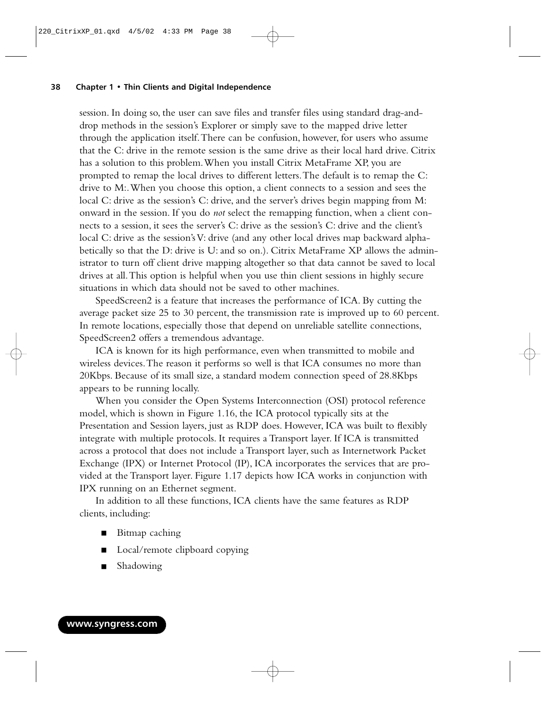session. In doing so, the user can save files and transfer files using standard drag-anddrop methods in the session's Explorer or simply save to the mapped drive letter through the application itself.There can be confusion, however, for users who assume that the C: drive in the remote session is the same drive as their local hard drive. Citrix has a solution to this problem.When you install Citrix MetaFrame XP, you are prompted to remap the local drives to different letters.The default is to remap the C: drive to M:.When you choose this option, a client connects to a session and sees the local C: drive as the session's C: drive, and the server's drives begin mapping from M: onward in the session. If you do *not* select the remapping function, when a client connects to a session, it sees the server's C: drive as the session's C: drive and the client's local C: drive as the session's V: drive (and any other local drives map backward alphabetically so that the D: drive is U: and so on.). Citrix MetaFrame XP allows the administrator to turn off client drive mapping altogether so that data cannot be saved to local drives at all.This option is helpful when you use thin client sessions in highly secure situations in which data should not be saved to other machines.

SpeedScreen2 is a feature that increases the performance of ICA. By cutting the average packet size 25 to 30 percent, the transmission rate is improved up to 60 percent. In remote locations, especially those that depend on unreliable satellite connections, SpeedScreen2 offers a tremendous advantage.

ICA is known for its high performance, even when transmitted to mobile and wireless devices.The reason it performs so well is that ICA consumes no more than 20Kbps. Because of its small size, a standard modem connection speed of 28.8Kbps appears to be running locally.

When you consider the Open Systems Interconnection (OSI) protocol reference model, which is shown in Figure 1.16, the ICA protocol typically sits at the Presentation and Session layers, just as RDP does. However, ICA was built to flexibly integrate with multiple protocols. It requires a Transport layer. If ICA is transmitted across a protocol that does not include a Transport layer, such as Internetwork Packet Exchange (IPX) or Internet Protocol (IP), ICA incorporates the services that are provided at the Transport layer. Figure 1.17 depicts how ICA works in conjunction with IPX running on an Ethernet segment.

In addition to all these functions, ICA clients have the same features as RDP clients, including:

- Bitmap caching
- Local/remote clipboard copying
- **Shadowing**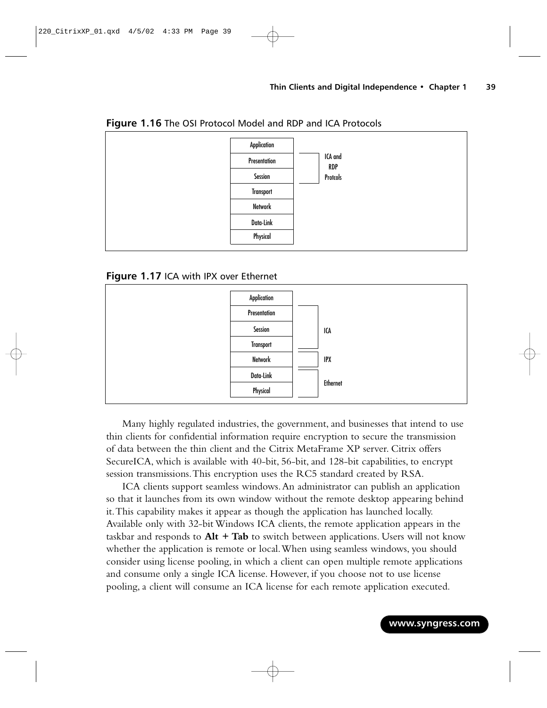| Application  |                |  |
|--------------|----------------|--|
| Presentation | ICA and<br>RDP |  |
| Session      | Protcols       |  |
| Transport    |                |  |
| Network      |                |  |
| Data-Link    |                |  |
| Physical     |                |  |
|              |                |  |

**Figure 1.16** The OSI Protocol Model and RDP and ICA Protocols



| Application  |            |
|--------------|------------|
| Presentation |            |
| Session      | ICA        |
| Transport    |            |
| Network      | <b>IPX</b> |
| Data-Link    | Ethernet   |
| Physical     |            |

Many highly regulated industries, the government, and businesses that intend to use thin clients for confidential information require encryption to secure the transmission of data between the thin client and the Citrix MetaFrame XP server. Citrix offers SecureICA, which is available with 40-bit, 56-bit, and 128-bit capabilities, to encrypt session transmissions.This encryption uses the RC5 standard created by RSA.

ICA clients support seamless windows.An administrator can publish an application so that it launches from its own window without the remote desktop appearing behind it.This capability makes it appear as though the application has launched locally. Available only with 32-bit Windows ICA clients, the remote application appears in the taskbar and responds to **Alt + Tab** to switch between applications. Users will not know whether the application is remote or local.When using seamless windows, you should consider using license pooling, in which a client can open multiple remote applications and consume only a single ICA license. However, if you choose not to use license pooling, a client will consume an ICA license for each remote application executed.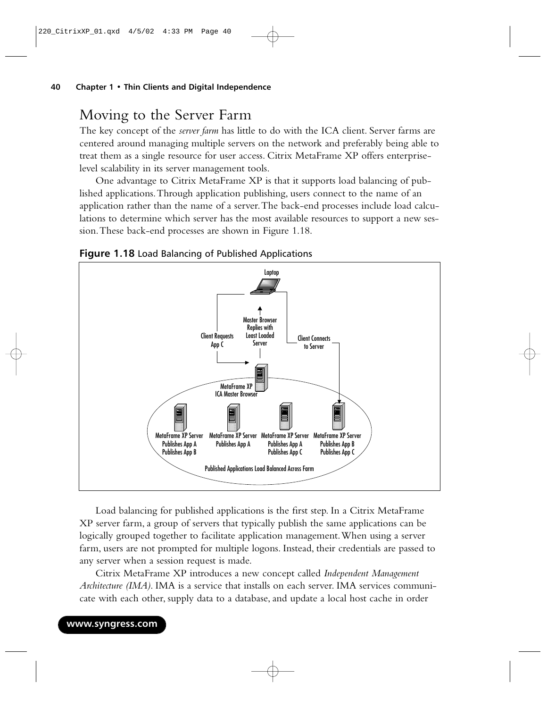### Moving to the Server Farm

The key concept of the *server farm* has little to do with the ICA client. Server farms are centered around managing multiple servers on the network and preferably being able to treat them as a single resource for user access. Citrix MetaFrame XP offers enterpriselevel scalability in its server management tools.

One advantage to Citrix MetaFrame XP is that it supports load balancing of published applications.Through application publishing, users connect to the name of an application rather than the name of a server.The back-end processes include load calculations to determine which server has the most available resources to support a new session.These back-end processes are shown in Figure 1.18.



**Figure 1.18** Load Balancing of Published Applications

Load balancing for published applications is the first step. In a Citrix MetaFrame XP server farm, a group of servers that typically publish the same applications can be logically grouped together to facilitate application management.When using a server farm, users are not prompted for multiple logons. Instead, their credentials are passed to any server when a session request is made.

Citrix MetaFrame XP introduces a new concept called *Independent Management Architecture (IMA)*. IMA is a service that installs on each server. IMA services communicate with each other, supply data to a database, and update a local host cache in order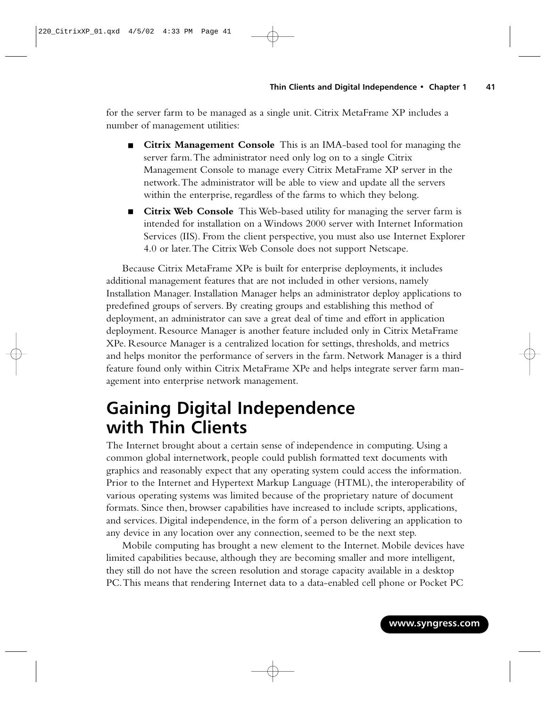for the server farm to be managed as a single unit. Citrix MetaFrame XP includes a number of management utilities:

- **Citrix Management Console** This is an IMA-based tool for managing the server farm.The administrator need only log on to a single Citrix Management Console to manage every Citrix MetaFrame XP server in the network.The administrator will be able to view and update all the servers within the enterprise, regardless of the farms to which they belong.
- **Citrix Web Console** This Web-based utility for managing the server farm is intended for installation on a Windows 2000 server with Internet Information Services (IIS). From the client perspective, you must also use Internet Explorer 4.0 or later.The Citrix Web Console does not support Netscape.

Because Citrix MetaFrame XPe is built for enterprise deployments, it includes additional management features that are not included in other versions, namely Installation Manager. Installation Manager helps an administrator deploy applications to predefined groups of servers. By creating groups and establishing this method of deployment, an administrator can save a great deal of time and effort in application deployment. Resource Manager is another feature included only in Citrix MetaFrame XPe. Resource Manager is a centralized location for settings, thresholds, and metrics and helps monitor the performance of servers in the farm. Network Manager is a third feature found only within Citrix MetaFrame XPe and helps integrate server farm management into enterprise network management.

# **Gaining Digital Independence with Thin Clients**

The Internet brought about a certain sense of independence in computing. Using a common global internetwork, people could publish formatted text documents with graphics and reasonably expect that any operating system could access the information. Prior to the Internet and Hypertext Markup Language (HTML), the interoperability of various operating systems was limited because of the proprietary nature of document formats. Since then, browser capabilities have increased to include scripts, applications, and services. Digital independence, in the form of a person delivering an application to any device in any location over any connection, seemed to be the next step.

Mobile computing has brought a new element to the Internet. Mobile devices have limited capabilities because, although they are becoming smaller and more intelligent, they still do not have the screen resolution and storage capacity available in a desktop PC.This means that rendering Internet data to a data-enabled cell phone or Pocket PC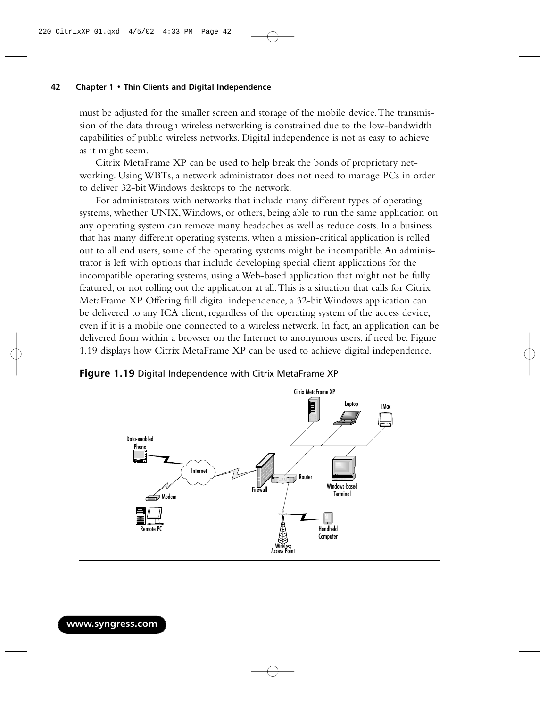must be adjusted for the smaller screen and storage of the mobile device.The transmission of the data through wireless networking is constrained due to the low-bandwidth capabilities of public wireless networks. Digital independence is not as easy to achieve as it might seem.

Citrix MetaFrame XP can be used to help break the bonds of proprietary networking. Using WBTs, a network administrator does not need to manage PCs in order to deliver 32-bit Windows desktops to the network.

For administrators with networks that include many different types of operating systems, whether UNIX,Windows, or others, being able to run the same application on any operating system can remove many headaches as well as reduce costs. In a business that has many different operating systems, when a mission-critical application is rolled out to all end users, some of the operating systems might be incompatible.An administrator is left with options that include developing special client applications for the incompatible operating systems, using a Web-based application that might not be fully featured, or not rolling out the application at all.This is a situation that calls for Citrix MetaFrame XP. Offering full digital independence, a 32-bit Windows application can be delivered to any ICA client, regardless of the operating system of the access device, even if it is a mobile one connected to a wireless network. In fact, an application can be delivered from within a browser on the Internet to anonymous users, if need be. Figure 1.19 displays how Citrix MetaFrame XP can be used to achieve digital independence.



**Figure 1.19** Digital Independence with Citrix MetaFrame XP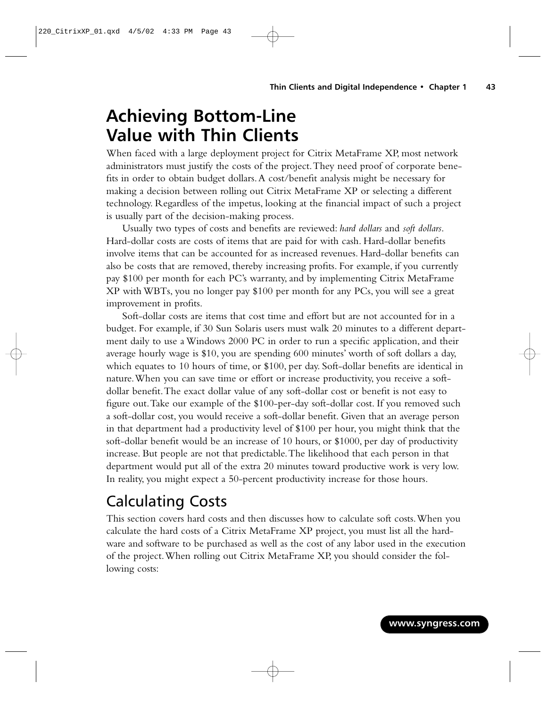# **Achieving Bottom-Line Value with Thin Clients**

When faced with a large deployment project for Citrix MetaFrame XP, most network administrators must justify the costs of the project.They need proof of corporate benefits in order to obtain budget dollars.A cost/benefit analysis might be necessary for making a decision between rolling out Citrix MetaFrame XP or selecting a different technology. Regardless of the impetus, looking at the financial impact of such a project is usually part of the decision-making process.

Usually two types of costs and benefits are reviewed: *hard dollars* and *soft dollars*. Hard-dollar costs are costs of items that are paid for with cash. Hard-dollar benefits involve items that can be accounted for as increased revenues. Hard-dollar benefits can also be costs that are removed, thereby increasing profits. For example, if you currently pay \$100 per month for each PC's warranty, and by implementing Citrix MetaFrame XP with WBTs, you no longer pay \$100 per month for any PCs, you will see a great improvement in profits.

Soft-dollar costs are items that cost time and effort but are not accounted for in a budget. For example, if 30 Sun Solaris users must walk 20 minutes to a different department daily to use a Windows 2000 PC in order to run a specific application, and their average hourly wage is \$10, you are spending 600 minutes' worth of soft dollars a day, which equates to 10 hours of time, or \$100, per day. Soft-dollar benefits are identical in nature.When you can save time or effort or increase productivity, you receive a softdollar benefit.The exact dollar value of any soft-dollar cost or benefit is not easy to figure out.Take our example of the \$100-per-day soft-dollar cost. If you removed such a soft-dollar cost, you would receive a soft-dollar benefit. Given that an average person in that department had a productivity level of \$100 per hour, you might think that the soft-dollar benefit would be an increase of 10 hours, or \$1000, per day of productivity increase. But people are not that predictable.The likelihood that each person in that department would put all of the extra 20 minutes toward productive work is very low. In reality, you might expect a 50-percent productivity increase for those hours.

# Calculating Costs

This section covers hard costs and then discusses how to calculate soft costs.When you calculate the hard costs of a Citrix MetaFrame XP project, you must list all the hardware and software to be purchased as well as the cost of any labor used in the execution of the project.When rolling out Citrix MetaFrame XP, you should consider the following costs: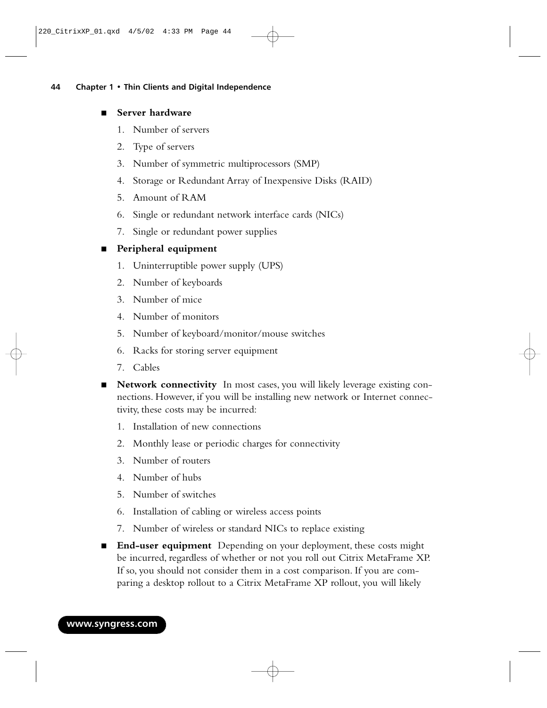#### ■ **Server hardware**

- 1. Number of servers
- 2. Type of servers
- 3. Number of symmetric multiprocessors (SMP)
- 4. Storage or Redundant Array of Inexpensive Disks (RAID)
- 5. Amount of RAM
- 6. Single or redundant network interface cards (NICs)
- 7. Single or redundant power supplies

#### **Peripheral equipment**

- 1. Uninterruptible power supply (UPS)
- 2. Number of keyboards
- 3. Number of mice
- 4. Number of monitors
- 5. Number of keyboard/monitor/mouse switches
- 6. Racks for storing server equipment
- 7. Cables
- **Network connectivity** In most cases, you will likely leverage existing connections. However, if you will be installing new network or Internet connectivity, these costs may be incurred:
	- 1. Installation of new connections
	- 2. Monthly lease or periodic charges for connectivity
	- 3. Number of routers
	- 4. Number of hubs
	- 5. Number of switches
	- 6. Installation of cabling or wireless access points
	- 7. Number of wireless or standard NICs to replace existing
- **End-user equipment** Depending on your deployment, these costs might be incurred, regardless of whether or not you roll out Citrix MetaFrame XP. If so, you should not consider them in a cost comparison. If you are comparing a desktop rollout to a Citrix MetaFrame XP rollout, you will likely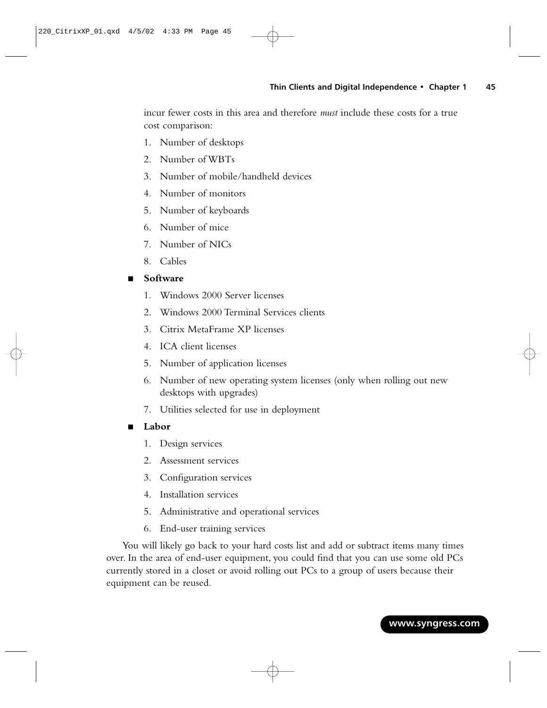incur fewer costs in this area and therefore *must* include these costs for a true cost comparison:

- 1. Number of desktops
- 2. Number of WBTs
- 3. Number of mobile/handheld devices
- 4. Number of monitors
- 5. Number of keyboards
- 6. Number of mice
- 7. Number of NICs
- 8. Cables

#### ■ **Software**

- 1. Windows 2000 Server licenses
- 2. Windows 2000 Terminal Services clients
- 3. Citrix MetaFrame XP licenses
- 4. ICA client licenses
- 5. Number of application licenses
- 6. Number of new operating system licenses (only when rolling out new desktops with upgrades)
- 7. Utilities selected for use in deployment

#### ■ **Labor**

- 1. Design services
- 2. Assessment services
- 3. Configuration services
- 4. Installation services
- 5. Administrative and operational services
- 6. End-user training services

You will likely go back to your hard costs list and add or subtract items many times over. In the area of end-user equipment, you could find that you can use some old PCs currently stored in a closet or avoid rolling out PCs to a group of users because their equipment can be reused.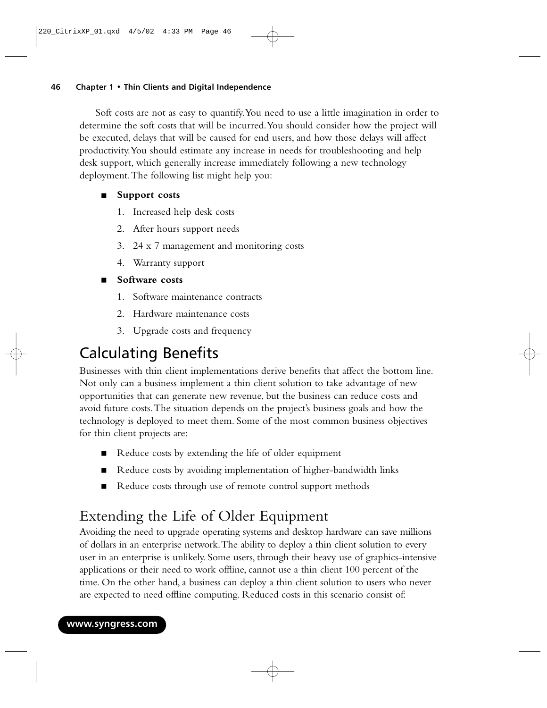Soft costs are not as easy to quantify.You need to use a little imagination in order to determine the soft costs that will be incurred.You should consider how the project will be executed, delays that will be caused for end users, and how those delays will affect productivity.You should estimate any increase in needs for troubleshooting and help desk support, which generally increase immediately following a new technology deployment.The following list might help you:

#### **Support costs**

- 1. Increased help desk costs
- 2. After hours support needs
- 3. 24 x 7 management and monitoring costs
- 4. Warranty support

#### ■ **Software costs**

- 1. Software maintenance contracts
- 2. Hardware maintenance costs
- 3. Upgrade costs and frequency

# Calculating Benefits

Businesses with thin client implementations derive benefits that affect the bottom line. Not only can a business implement a thin client solution to take advantage of new opportunities that can generate new revenue, but the business can reduce costs and avoid future costs.The situation depends on the project's business goals and how the technology is deployed to meet them. Some of the most common business objectives for thin client projects are:

- Reduce costs by extending the life of older equipment
- Reduce costs by avoiding implementation of higher-bandwidth links
- Reduce costs through use of remote control support methods

# Extending the Life of Older Equipment

Avoiding the need to upgrade operating systems and desktop hardware can save millions of dollars in an enterprise network.The ability to deploy a thin client solution to every user in an enterprise is unlikely. Some users, through their heavy use of graphics-intensive applications or their need to work offline, cannot use a thin client 100 percent of the time. On the other hand, a business can deploy a thin client solution to users who never are expected to need offline computing. Reduced costs in this scenario consist of: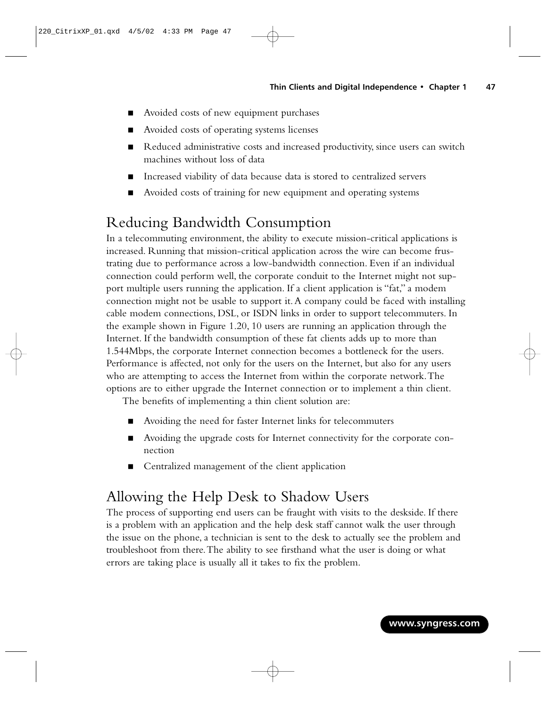- Avoided costs of new equipment purchases
- Avoided costs of operating systems licenses
- Reduced administrative costs and increased productivity, since users can switch machines without loss of data
- Increased viability of data because data is stored to centralized servers
- Avoided costs of training for new equipment and operating systems

### Reducing Bandwidth Consumption

In a telecommuting environment, the ability to execute mission-critical applications is increased. Running that mission-critical application across the wire can become frustrating due to performance across a low-bandwidth connection. Even if an individual connection could perform well, the corporate conduit to the Internet might not support multiple users running the application. If a client application is "fat," a modem connection might not be usable to support it.A company could be faced with installing cable modem connections, DSL, or ISDN links in order to support telecommuters. In the example shown in Figure 1.20, 10 users are running an application through the Internet. If the bandwidth consumption of these fat clients adds up to more than 1.544Mbps, the corporate Internet connection becomes a bottleneck for the users. Performance is affected, not only for the users on the Internet, but also for any users who are attempting to access the Internet from within the corporate network.The options are to either upgrade the Internet connection or to implement a thin client.

The benefits of implementing a thin client solution are:

- Avoiding the need for faster Internet links for telecommuters
- Avoiding the upgrade costs for Internet connectivity for the corporate connection
- Centralized management of the client application

### Allowing the Help Desk to Shadow Users

The process of supporting end users can be fraught with visits to the deskside. If there is a problem with an application and the help desk staff cannot walk the user through the issue on the phone, a technician is sent to the desk to actually see the problem and troubleshoot from there.The ability to see firsthand what the user is doing or what errors are taking place is usually all it takes to fix the problem.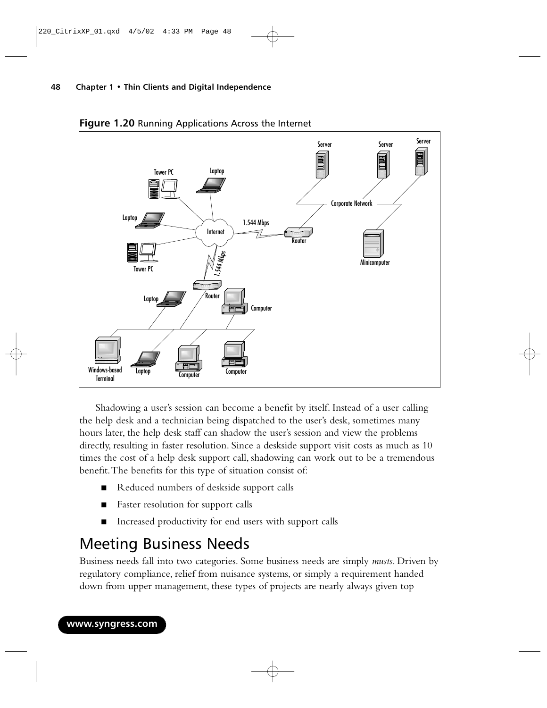



Shadowing a user's session can become a benefit by itself. Instead of a user calling the help desk and a technician being dispatched to the user's desk, sometimes many hours later, the help desk staff can shadow the user's session and view the problems directly, resulting in faster resolution. Since a deskside support visit costs as much as 10 times the cost of a help desk support call, shadowing can work out to be a tremendous benefit.The benefits for this type of situation consist of:

- Reduced numbers of deskside support calls
- Faster resolution for support calls
- Increased productivity for end users with support calls

# Meeting Business Needs

Business needs fall into two categories. Some business needs are simply *musts*. Driven by regulatory compliance, relief from nuisance systems, or simply a requirement handed down from upper management, these types of projects are nearly always given top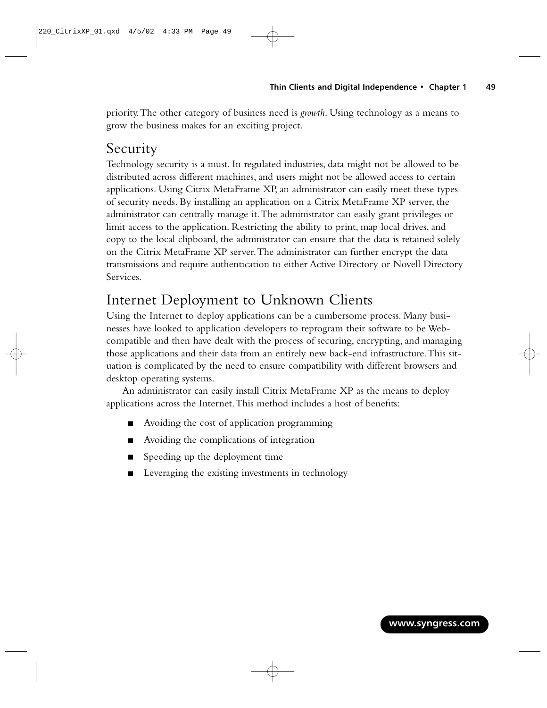priority.The other category of business need is *growth*. Using technology as a means to grow the business makes for an exciting project.

### **Security**

Technology security is a must. In regulated industries, data might not be allowed to be distributed across different machines, and users might not be allowed access to certain applications. Using Citrix MetaFrame XP, an administrator can easily meet these types of security needs. By installing an application on a Citrix MetaFrame XP server, the administrator can centrally manage it.The administrator can easily grant privileges or limit access to the application. Restricting the ability to print, map local drives, and copy to the local clipboard, the administrator can ensure that the data is retained solely on the Citrix MetaFrame XP server.The administrator can further encrypt the data transmissions and require authentication to either Active Directory or Novell Directory Services.

## Internet Deployment to Unknown Clients

Using the Internet to deploy applications can be a cumbersome process. Many businesses have looked to application developers to reprogram their software to be Webcompatible and then have dealt with the process of securing, encrypting, and managing those applications and their data from an entirely new back-end infrastructure.This situation is complicated by the need to ensure compatibility with different browsers and desktop operating systems.

An administrator can easily install Citrix MetaFrame XP as the means to deploy applications across the Internet.This method includes a host of benefits:

- Avoiding the cost of application programming
- Avoiding the complications of integration
- Speeding up the deployment time
- Leveraging the existing investments in technology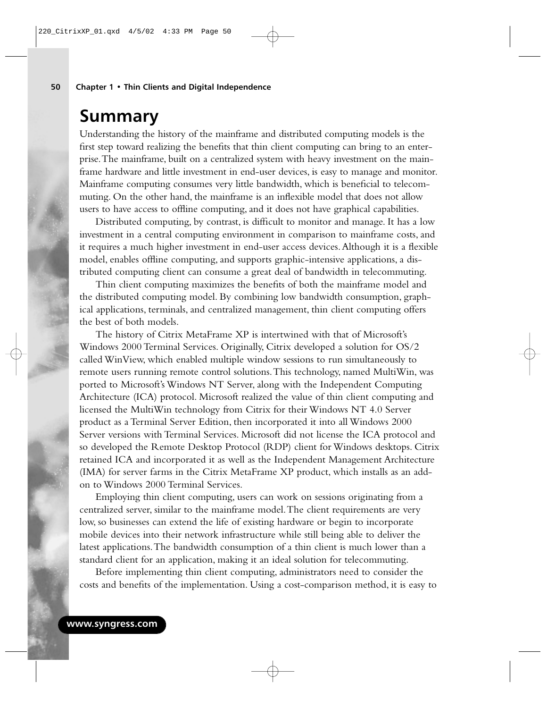## **Summary**

Understanding the history of the mainframe and distributed computing models is the first step toward realizing the benefits that thin client computing can bring to an enterprise.The mainframe, built on a centralized system with heavy investment on the mainframe hardware and little investment in end-user devices, is easy to manage and monitor. Mainframe computing consumes very little bandwidth, which is beneficial to telecommuting. On the other hand, the mainframe is an inflexible model that does not allow users to have access to offline computing, and it does not have graphical capabilities.

Distributed computing, by contrast, is difficult to monitor and manage. It has a low investment in a central computing environment in comparison to mainframe costs, and it requires a much higher investment in end-user access devices.Although it is a flexible model, enables offline computing, and supports graphic-intensive applications, a distributed computing client can consume a great deal of bandwidth in telecommuting.

Thin client computing maximizes the benefits of both the mainframe model and the distributed computing model. By combining low bandwidth consumption, graphical applications, terminals, and centralized management, thin client computing offers the best of both models.

The history of Citrix MetaFrame XP is intertwined with that of Microsoft's Windows 2000 Terminal Services. Originally, Citrix developed a solution for OS/2 called WinView, which enabled multiple window sessions to run simultaneously to remote users running remote control solutions.This technology, named MultiWin, was ported to Microsoft's Windows NT Server, along with the Independent Computing Architecture (ICA) protocol. Microsoft realized the value of thin client computing and licensed the MultiWin technology from Citrix for their Windows NT 4.0 Server product as a Terminal Server Edition, then incorporated it into all Windows 2000 Server versions with Terminal Services. Microsoft did not license the ICA protocol and so developed the Remote Desktop Protocol (RDP) client for Windows desktops. Citrix retained ICA and incorporated it as well as the Independent Management Architecture (IMA) for server farms in the Citrix MetaFrame XP product, which installs as an addon to Windows 2000 Terminal Services.

Employing thin client computing, users can work on sessions originating from a centralized server, similar to the mainframe model.The client requirements are very low, so businesses can extend the life of existing hardware or begin to incorporate mobile devices into their network infrastructure while still being able to deliver the latest applications.The bandwidth consumption of a thin client is much lower than a standard client for an application, making it an ideal solution for telecommuting.

Before implementing thin client computing, administrators need to consider the costs and benefits of the implementation. Using a cost-comparison method, it is easy to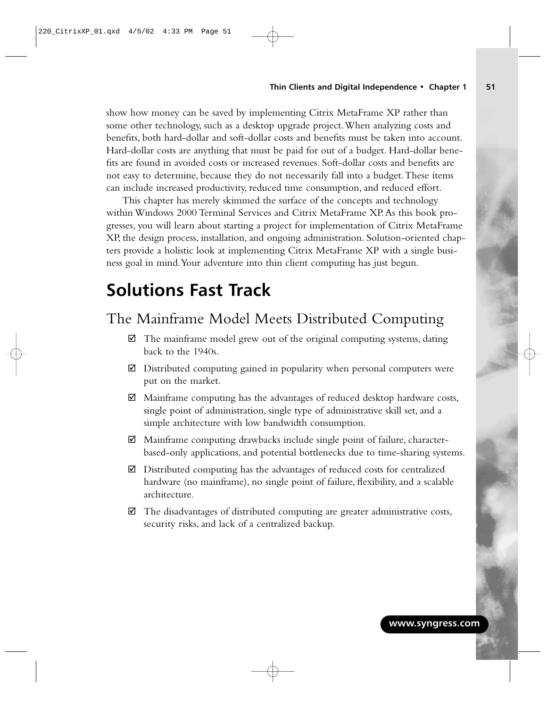show how money can be saved by implementing Citrix MetaFrame XP rather than some other technology, such as a desktop upgrade project.When analyzing costs and benefits, both hard-dollar and soft-dollar costs and benefits must be taken into account. Hard-dollar costs are anything that must be paid for out of a budget. Hard-dollar benefits are found in avoided costs or increased revenues. Soft-dollar costs and benefits are not easy to determine, because they do not necessarily fall into a budget.These items can include increased productivity, reduced time consumption, and reduced effort.

This chapter has merely skimmed the surface of the concepts and technology within Windows 2000 Terminal Services and Citrix MetaFrame XP.As this book progresses, you will learn about starting a project for implementation of Citrix MetaFrame XP, the design process, installation, and ongoing administration. Solution-oriented chapters provide a holistic look at implementing Citrix MetaFrame XP with a single business goal in mind.Your adventure into thin client computing has just begun.

# **Solutions Fast Track**

### The Mainframe Model Meets Distributed Computing

- $\boxtimes$  The mainframe model grew out of the original computing systems, dating back to the 1940s.
- $\boxtimes$  Distributed computing gained in popularity when personal computers were put on the market.
- $\boxtimes$  Mainframe computing has the advantages of reduced desktop hardware costs, single point of administration, single type of administrative skill set, and a simple architecture with low bandwidth consumption.
- $\boxtimes$  Mainframe computing drawbacks include single point of failure, characterbased-only applications, and potential bottlenecks due to time-sharing systems.
- $\boxtimes$  Distributed computing has the advantages of reduced costs for centralized hardware (no mainframe), no single point of failure, flexibility, and a scalable architecture.
- $\boxtimes$  The disadvantages of distributed computing are greater administrative costs, security risks, and lack of a centralized backup.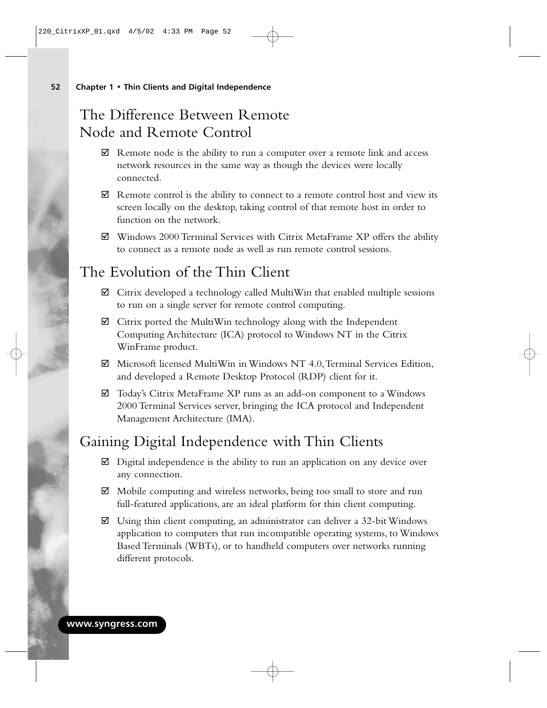### The Difference Between Remote Node and Remote Control

- $\boxtimes$  Remote node is the ability to run a computer over a remote link and access network resources in the same way as though the devices were locally connected.
- $\boxtimes$  Remote control is the ability to connect to a remote control host and view its screen locally on the desktop, taking control of that remote host in order to function on the network.
- $\boxtimes$  Windows 2000 Terminal Services with Citrix MetaFrame XP offers the ability to connect as a remote node as well as run remote control sessions.

### The Evolution of the Thin Client

- $\boxtimes$  Citrix developed a technology called MultiWin that enabled multiple sessions to run on a single server for remote control computing.
- $\boxtimes$  Citrix ported the MultiWin technology along with the Independent Computing Architecture (ICA) protocol to Windows NT in the Citrix WinFrame product.
- $\boxtimes$  Microsoft licensed MultiWin in Windows NT 4.0, Terminal Services Edition, and developed a Remote Desktop Protocol (RDP) client for it.
- $\boxtimes$  Today's Citrix MetaFrame XP runs as an add-on component to a Windows 2000 Terminal Services server, bringing the ICA protocol and Independent Management Architecture (IMA).

### Gaining Digital Independence with Thin Clients

- $\boxtimes$  Digital independence is the ability to run an application on any device over any connection.
- $\boxtimes$  Mobile computing and wireless networks, being too small to store and run full-featured applications, are an ideal platform for thin client computing.
- $\boxtimes$  Using thin client computing, an administrator can deliver a 32-bit Windows application to computers that run incompatible operating systems, to Windows Based Terminals (WBTs), or to handheld computers over networks running different protocols.

**www.syngress.com**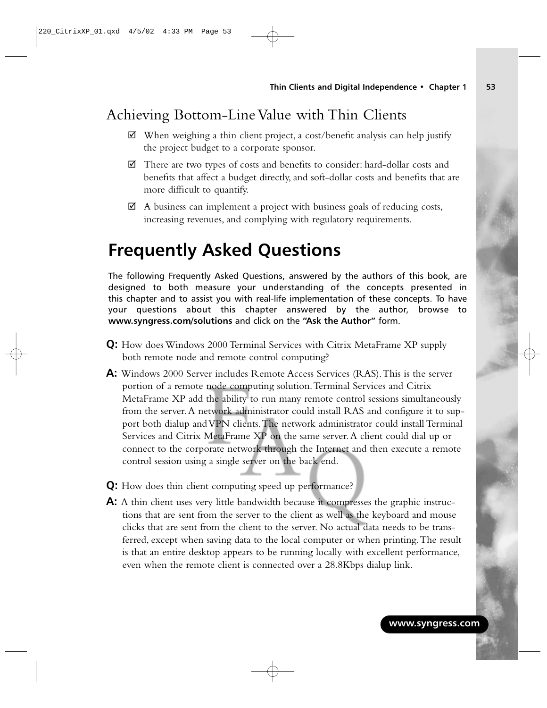### Achieving Bottom-Line Value with Thin Clients

- $\boxtimes$  When weighing a thin client project, a cost/benefit analysis can help justify the project budget to a corporate sponsor.
- $\boxtimes$  There are two types of costs and benefits to consider: hard-dollar costs and benefits that affect a budget directly, and soft-dollar costs and benefits that are more difficult to quantify.
- $\boxtimes$  A business can implement a project with business goals of reducing costs, increasing revenues, and complying with regulatory requirements.

# **Frequently Asked Questions**

The following Frequently Asked Questions, answered by the authors of this book, are designed to both measure your understanding of the concepts presented in this chapter and to assist you with real-life implementation of these concepts. To have your questions about this chapter answered by the author, browse to **www.syngress.com/solutions** and click on the **"Ask the Author"** form.

- **Q:** How does Windows 2000 Terminal Services with Citrix MetaFrame XP supply both remote node and remote control computing?
- **A:** Windows 2000 Server includes Remote Access Services (RAS).This is the server portion of a remote node computing solution.Terminal Services and Citrix MetaFrame XP add the ability to run many remote control sessions simultaneously from the server.A network administrator could install RAS and configure it to support both dialup and VPN clients.The network administrator could install Terminal Services and Citrix MetaFrame XP on the same server.A client could dial up or connect to the corporate network through the Internet and then execute a remote control session using a single server on the back end.
- **Q:** How does thin client computing speed up performance?
- **A:** A thin client uses very little bandwidth because it compresses the graphic instructions that are sent from the server to the client as well as the keyboard and mouse clicks that are sent from the client to the server. No actual data needs to be transferred, except when saving data to the local computer or when printing.The result is that an entire desktop appears to be running locally with excellent performance, even when the remote client is connected over a 28.8Kbps dialup link.